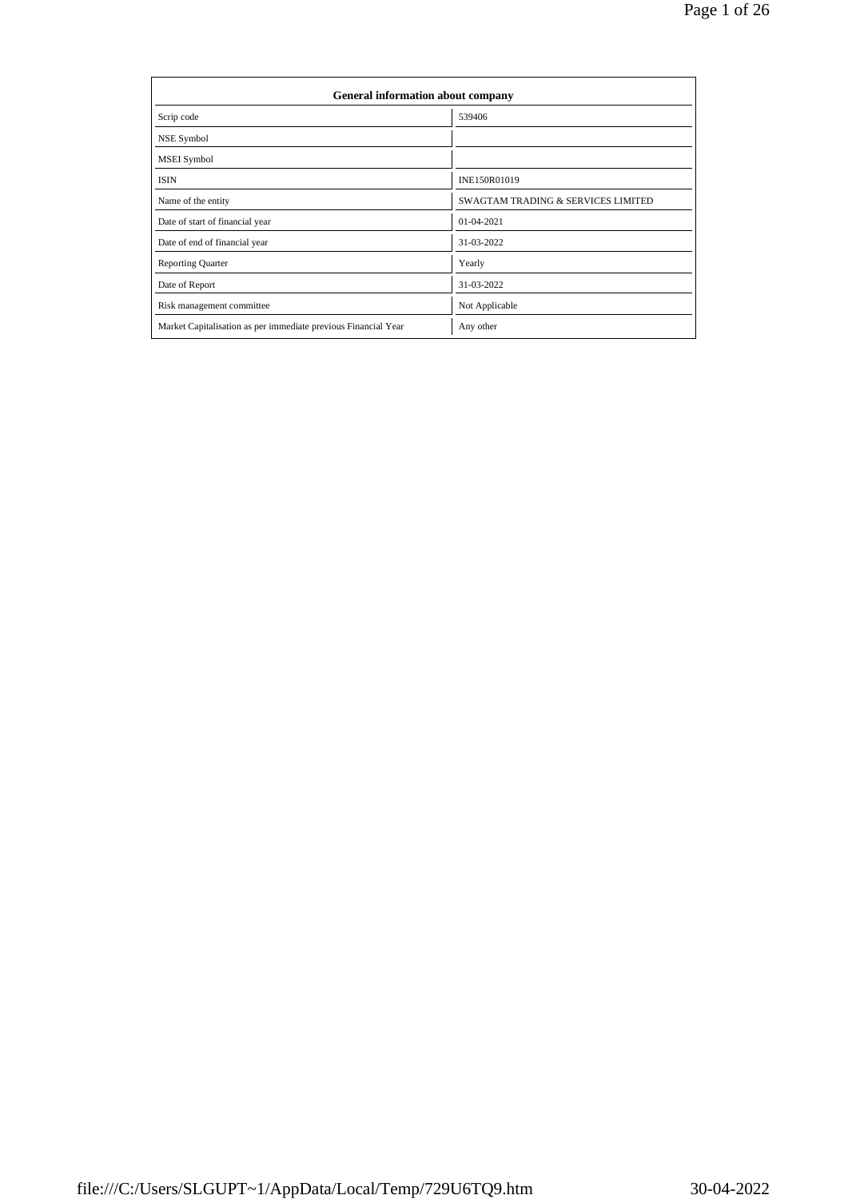| General information about company                              |                                               |  |  |  |  |  |  |
|----------------------------------------------------------------|-----------------------------------------------|--|--|--|--|--|--|
| Scrip code                                                     | 539406                                        |  |  |  |  |  |  |
| NSE Symbol                                                     |                                               |  |  |  |  |  |  |
| MSEI Symbol                                                    |                                               |  |  |  |  |  |  |
| <b>ISIN</b>                                                    | INE150R01019                                  |  |  |  |  |  |  |
| Name of the entity                                             | <b>SWAGTAM TRADING &amp; SERVICES LIMITED</b> |  |  |  |  |  |  |
| Date of start of financial year                                | 01-04-2021                                    |  |  |  |  |  |  |
| Date of end of financial year                                  | 31-03-2022                                    |  |  |  |  |  |  |
| <b>Reporting Quarter</b>                                       | Yearly                                        |  |  |  |  |  |  |
| Date of Report                                                 | 31-03-2022                                    |  |  |  |  |  |  |
| Risk management committee                                      | Not Applicable                                |  |  |  |  |  |  |
| Market Capitalisation as per immediate previous Financial Year | Any other                                     |  |  |  |  |  |  |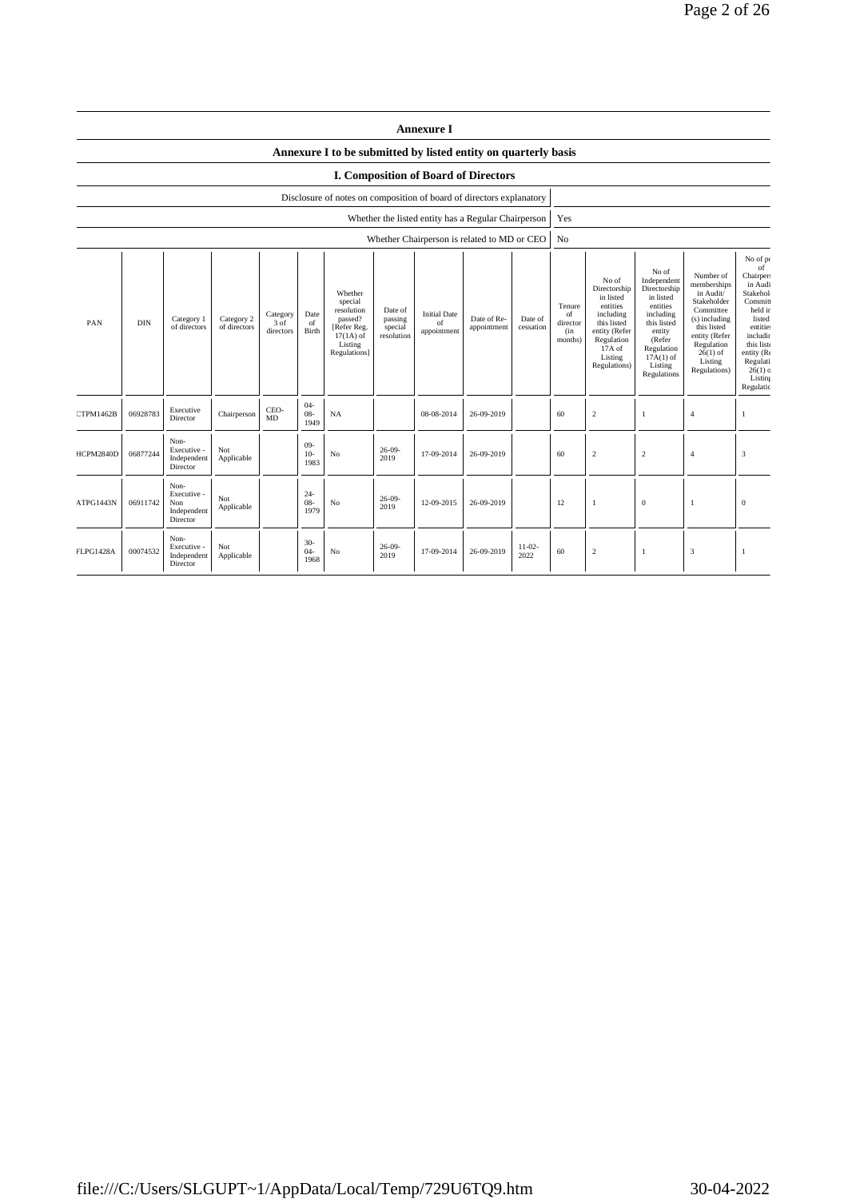|                                                                      |            |                                                       |                            |                               |                          |                                                                                                      |                                             | <b>Annexure I</b>                                   |                            |                      |                                            |                                                                                                                                                |                                                                                                                                                                      |                                                                                                                                                                           |                                                                                                                                                                                       |
|----------------------------------------------------------------------|------------|-------------------------------------------------------|----------------------------|-------------------------------|--------------------------|------------------------------------------------------------------------------------------------------|---------------------------------------------|-----------------------------------------------------|----------------------------|----------------------|--------------------------------------------|------------------------------------------------------------------------------------------------------------------------------------------------|----------------------------------------------------------------------------------------------------------------------------------------------------------------------|---------------------------------------------------------------------------------------------------------------------------------------------------------------------------|---------------------------------------------------------------------------------------------------------------------------------------------------------------------------------------|
|                                                                      |            |                                                       |                            |                               |                          | Annexure I to be submitted by listed entity on quarterly basis                                       |                                             |                                                     |                            |                      |                                            |                                                                                                                                                |                                                                                                                                                                      |                                                                                                                                                                           |                                                                                                                                                                                       |
|                                                                      |            |                                                       |                            |                               |                          |                                                                                                      |                                             | I. Composition of Board of Directors                |                            |                      |                                            |                                                                                                                                                |                                                                                                                                                                      |                                                                                                                                                                           |                                                                                                                                                                                       |
| Disclosure of notes on composition of board of directors explanatory |            |                                                       |                            |                               |                          |                                                                                                      |                                             |                                                     |                            |                      |                                            |                                                                                                                                                |                                                                                                                                                                      |                                                                                                                                                                           |                                                                                                                                                                                       |
|                                                                      |            |                                                       |                            |                               |                          |                                                                                                      |                                             | Whether the listed entity has a Regular Chairperson |                            |                      | Yes                                        |                                                                                                                                                |                                                                                                                                                                      |                                                                                                                                                                           |                                                                                                                                                                                       |
|                                                                      |            |                                                       |                            |                               |                          |                                                                                                      |                                             | Whether Chairperson is related to MD or CEO         |                            |                      | No                                         |                                                                                                                                                |                                                                                                                                                                      |                                                                                                                                                                           |                                                                                                                                                                                       |
| PAN                                                                  | <b>DIN</b> | Category 1<br>of directors                            | Category 2<br>of directors | Category<br>3 of<br>directors | Date<br>of<br>Birth      | Whether<br>special<br>resolution<br>passed?<br>[Refer Reg.<br>$17(1A)$ of<br>Listing<br>Regulations] | Date of<br>passing<br>special<br>resolution | <b>Initial Date</b><br>of<br>appointment            | Date of Re-<br>appointment | Date of<br>cessation | Tenure<br>of<br>director<br>(in<br>months) | No of<br>Directorship<br>in listed<br>entities<br>including<br>this listed<br>entity (Refer<br>Regulation<br>17A of<br>Listing<br>Regulations) | No of<br>Independent<br>Directorship<br>in listed<br>entities<br>including<br>this listed<br>entity<br>(Refer<br>Regulation<br>$17A(1)$ of<br>Listing<br>Regulations | Number of<br>memberships<br>in Audit/<br>Stakeholder<br>Committee<br>(s) including<br>this listed<br>entity (Refer<br>Regulation<br>$26(1)$ of<br>Listing<br>Regulations) | No of po<br>of<br>Chairper:<br>in Audi<br>Stakehol<br>Commit<br>held in<br>listed<br>entitie:<br>includir<br>this list<br>entity (Re<br>Regulati<br>$26(1)$ c<br>Listing<br>Regulatio |
| CTPM1462B                                                            | 06928783   | Executive<br>Director                                 | Chairperson                | CEO-<br>MD                    | $04 -$<br>$08 -$<br>1949 | NA                                                                                                   |                                             | 08-08-2014                                          | 26-09-2019                 |                      | 60                                         | $\sqrt{2}$                                                                                                                                     | -1                                                                                                                                                                   | $\overline{4}$                                                                                                                                                            | $\mathbf{1}$                                                                                                                                                                          |
| HCPM2840D                                                            | 06877244   | Non-<br>Executive -<br>Independent<br>Director        | Not<br>Applicable          |                               | $09 -$<br>$10-$<br>1983  | No                                                                                                   | $26-09-$<br>2019                            | 17-09-2014                                          | 26-09-2019                 |                      | 60                                         | $\overline{c}$                                                                                                                                 | $\overline{2}$                                                                                                                                                       | $\overline{4}$                                                                                                                                                            | 3                                                                                                                                                                                     |
| ATPG1443N                                                            | 06911742   | Non-<br>Executive -<br>Non<br>Independent<br>Director | Not<br>Applicable          |                               | $24 -$<br>$08 -$<br>1979 | $\rm No$                                                                                             | $26-09-$<br>2019                            | 12-09-2015                                          | 26-09-2019                 |                      | 12                                         | $\mathbf{1}$                                                                                                                                   | $\boldsymbol{0}$                                                                                                                                                     | $\mathbf{1}$                                                                                                                                                              | $\mathbf{0}$                                                                                                                                                                          |
| <b>FLPG1428A</b>                                                     | 00074532   | Non-<br>Executive -<br>Independent<br>Director        | Not<br>Applicable          |                               | $30-$<br>$04 -$<br>1968  | No                                                                                                   | $26-09-$<br>2019                            | 17-09-2014                                          | 26-09-2019                 | $11 - 02 -$<br>2022  | 60                                         | $\overline{2}$                                                                                                                                 | -1                                                                                                                                                                   | 3                                                                                                                                                                         | -1                                                                                                                                                                                    |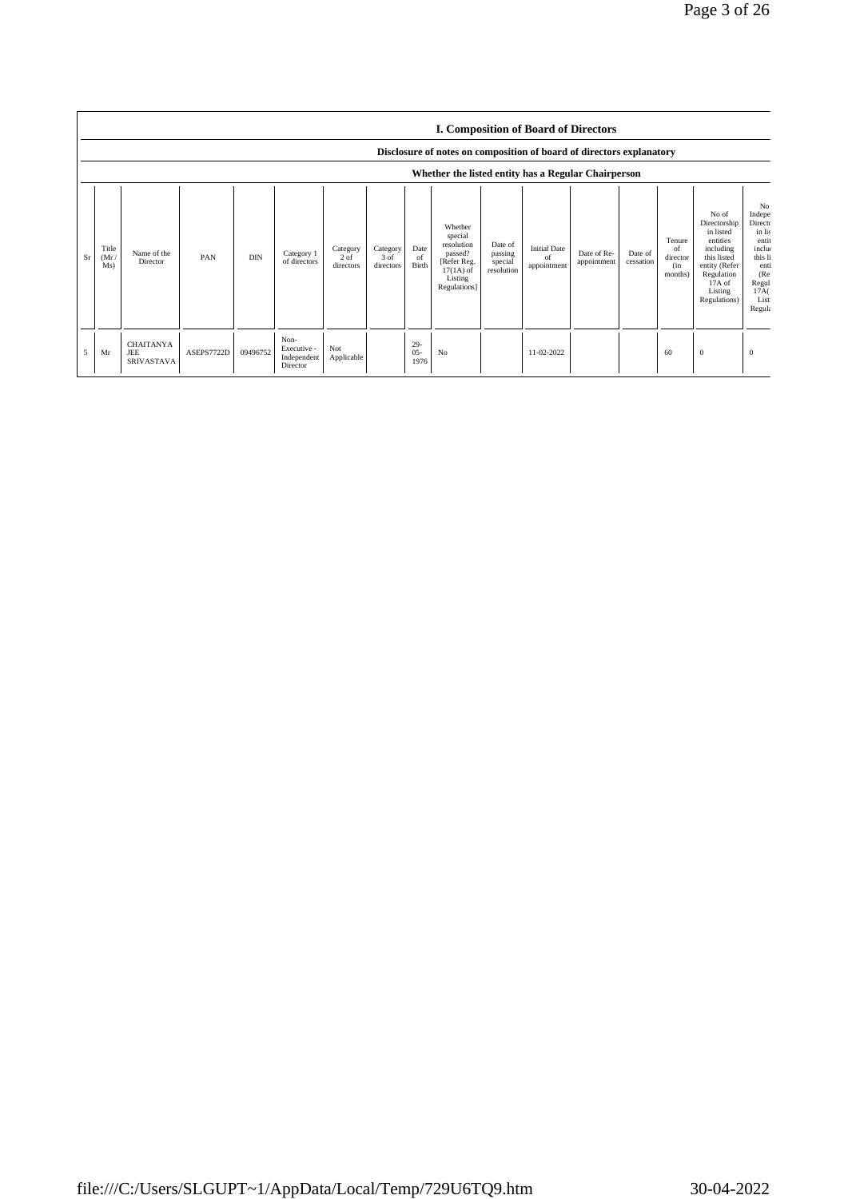|                | <b>I. Composition of Board of Directors</b><br>Disclosure of notes on composition of board of directors explanatory |                                                     |            |            |                                                |                                 |                               |                          |                                                                                                      |                                             |                                          |                            |                      |                                                       |                                                                                                                                                  |                                                                                                                               |
|----------------|---------------------------------------------------------------------------------------------------------------------|-----------------------------------------------------|------------|------------|------------------------------------------------|---------------------------------|-------------------------------|--------------------------|------------------------------------------------------------------------------------------------------|---------------------------------------------|------------------------------------------|----------------------------|----------------------|-------------------------------------------------------|--------------------------------------------------------------------------------------------------------------------------------------------------|-------------------------------------------------------------------------------------------------------------------------------|
|                | Whether the listed entity has a Regular Chairperson                                                                 |                                                     |            |            |                                                |                                 |                               |                          |                                                                                                      |                                             |                                          |                            |                      |                                                       |                                                                                                                                                  |                                                                                                                               |
| Sr             | Title<br>(Mr)<br>Ms)                                                                                                | Name of the<br>Director                             | PAN        | <b>DIN</b> | Category 1<br>of directors                     | Category<br>$2$ of<br>directors | Category<br>3 of<br>directors | Date<br>of<br>Birth      | Whether<br>special<br>resolution<br>passed?<br>[Refer Reg.<br>$17(1A)$ of<br>Listing<br>Regulations] | Date of<br>passing<br>special<br>resolution | <b>Initial Date</b><br>of<br>appointment | Date of Re-<br>appointment | Date of<br>cessation | Tenure<br><sub>of</sub><br>director<br>(in<br>months) | No of<br>Directorship<br>in listed<br>entities<br>including<br>this listed<br>entity (Refer<br>Regulation<br>$17A$ of<br>Listing<br>Regulations) | N <sub>o</sub><br>Indepe<br>Directo<br>in lis<br>entit<br>inclu<br>this li<br>enti<br>(Re)<br>Regul<br>17A(<br>List<br>Regula |
| $\overline{5}$ | Mr                                                                                                                  | <b>CHAITANYA</b><br><b>JEE</b><br><b>SRIVASTAVA</b> | ASEPS7722D | 09496752   | Non-<br>Executive -<br>Independent<br>Director | Not<br>Applicable               |                               | $29 -$<br>$05 -$<br>1976 | No                                                                                                   |                                             | 11-02-2022                               |                            |                      | 60                                                    | $\mathbf{0}$                                                                                                                                     | $\mathbf{0}$                                                                                                                  |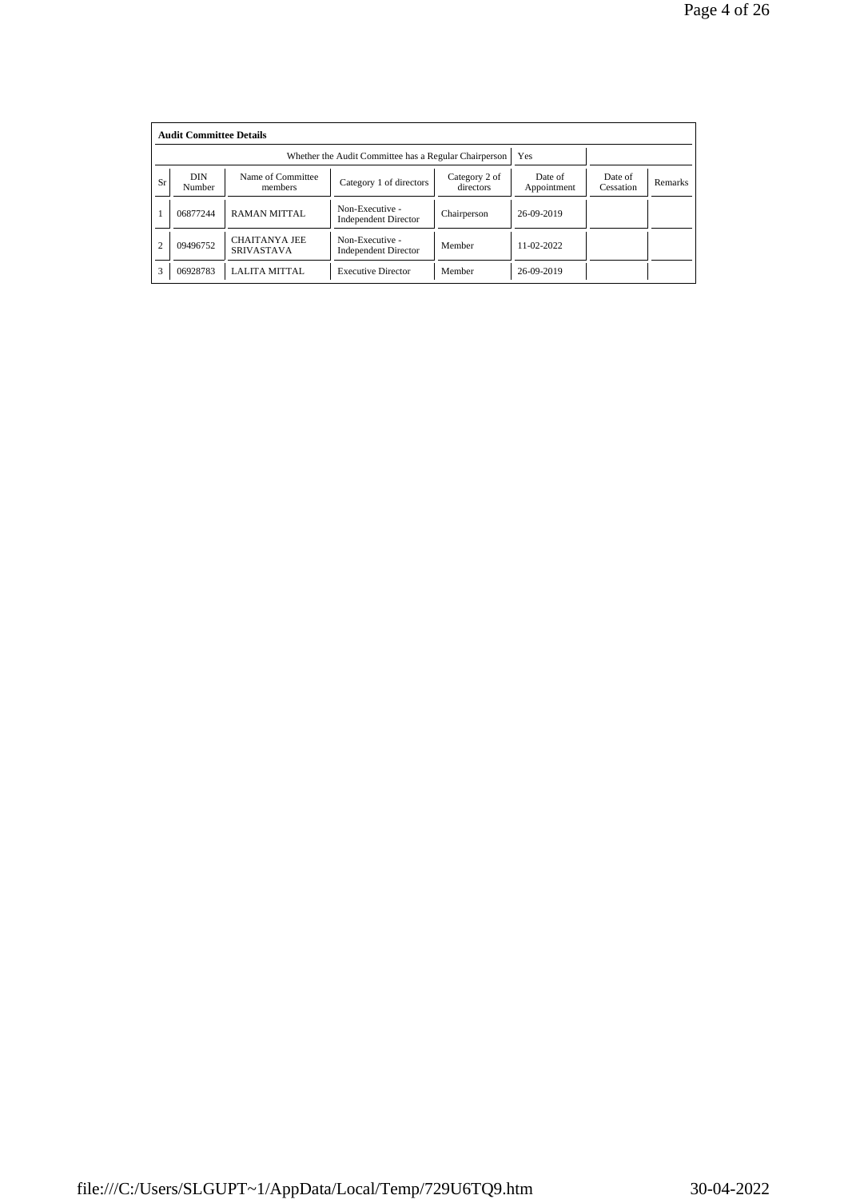|                | <b>Audit Committee Details</b> |                                                       |                                                |                            |                        |                      |                |  |  |  |  |  |
|----------------|--------------------------------|-------------------------------------------------------|------------------------------------------------|----------------------------|------------------------|----------------------|----------------|--|--|--|--|--|
|                |                                | Whether the Audit Committee has a Regular Chairperson | Yes                                            |                            |                        |                      |                |  |  |  |  |  |
| Sr             | <b>DIN</b><br>Number           | Name of Committee<br>members                          | Category 1 of directors                        | Category 2 of<br>directors | Date of<br>Appointment | Date of<br>Cessation | <b>Remarks</b> |  |  |  |  |  |
|                | 06877244                       | <b>RAMAN MITTAL</b>                                   | Non-Executive -<br><b>Independent Director</b> | Chairperson                | 26-09-2019             |                      |                |  |  |  |  |  |
| $\overline{2}$ | 09496752                       | <b>CHAITANYA JEE</b><br><b>SRIVASTAVA</b>             | Non-Executive -<br><b>Independent Director</b> | Member                     | 11-02-2022             |                      |                |  |  |  |  |  |
| 3              | 06928783                       | LALITA MITTAL                                         | <b>Executive Director</b>                      | Member                     | 26-09-2019             |                      |                |  |  |  |  |  |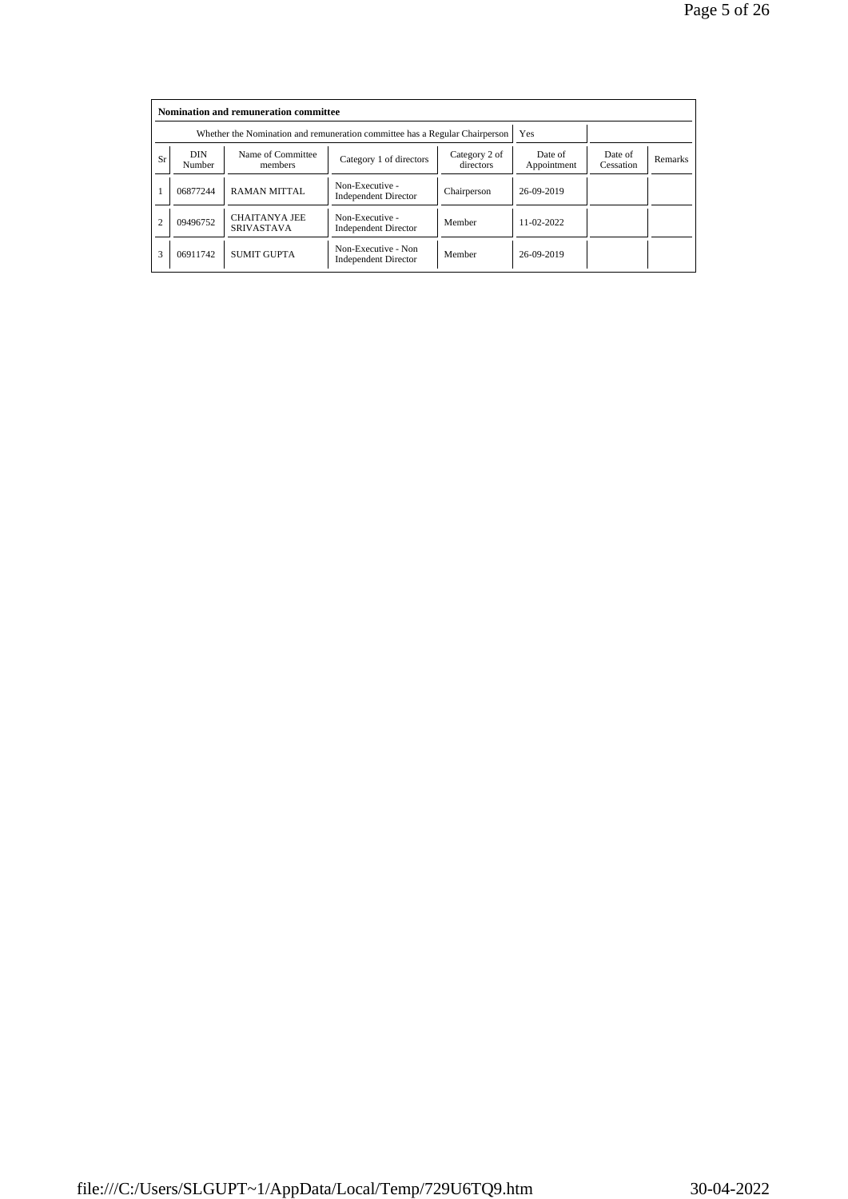|                |                      | Nomination and remuneration committee<br>Whether the Nomination and remuneration committee has a Regular Chairperson |                                                    | <b>Yes</b>             |                      |                |  |
|----------------|----------------------|----------------------------------------------------------------------------------------------------------------------|----------------------------------------------------|------------------------|----------------------|----------------|--|
| <b>Sr</b>      | <b>DIN</b><br>Number | Name of Committee<br>members                                                                                         | Category 2 of<br>directors                         | Date of<br>Appointment | Date of<br>Cessation | <b>Remarks</b> |  |
|                | 06877244             | <b>RAMAN MITTAL</b>                                                                                                  | Non-Executive -<br><b>Independent Director</b>     | Chairperson            | 26-09-2019           |                |  |
| $\overline{c}$ | 09496752             | <b>CHAITANYA JEE</b><br><b>SRIVASTAVA</b>                                                                            | Non-Executive -<br><b>Independent Director</b>     | Member                 | 11-02-2022           |                |  |
| 3              | 06911742             | <b>SUMIT GUPTA</b>                                                                                                   | Non-Executive - Non<br><b>Independent Director</b> | Member                 | 26-09-2019           |                |  |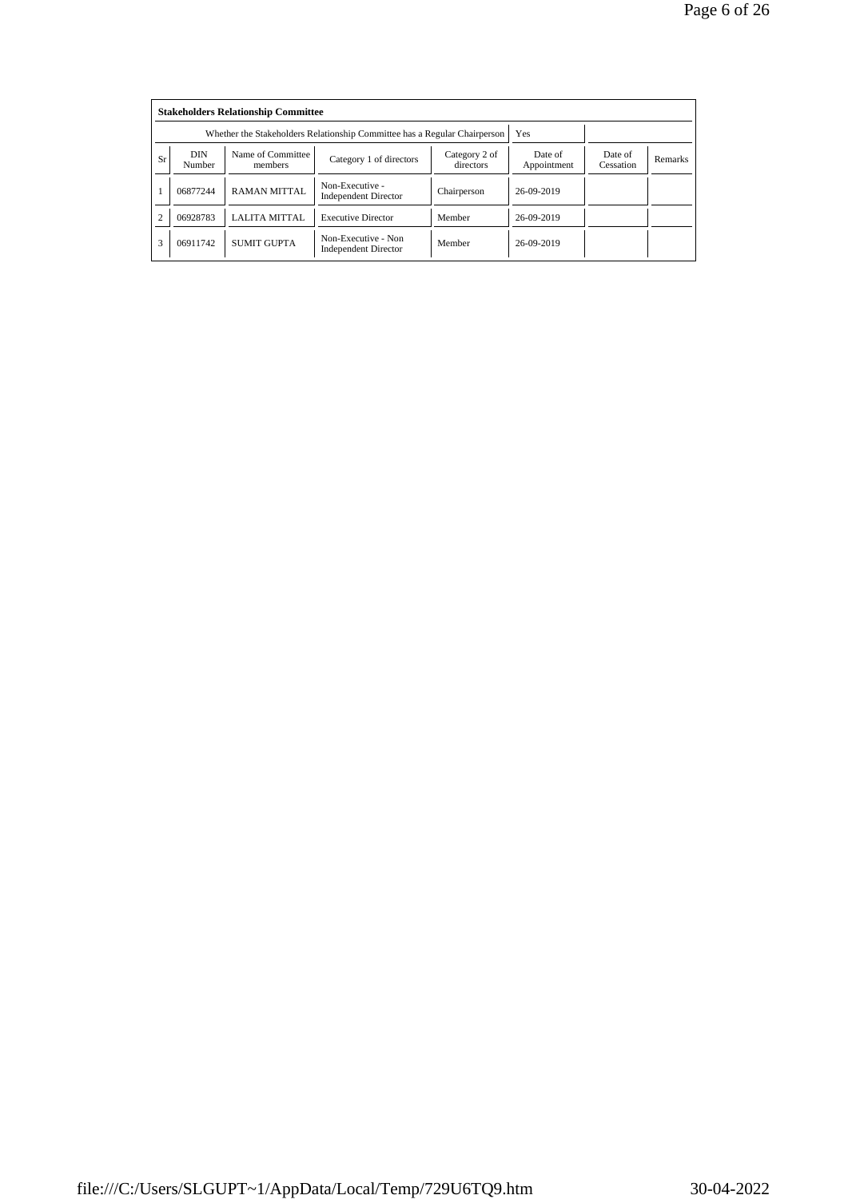|                | <b>Stakeholders Relationship Committee</b><br>Whether the Stakeholders Relationship Committee has a Regular Chairperson<br>Yes |                              |                                                    |                            |                        |                      |                |  |  |  |  |
|----------------|--------------------------------------------------------------------------------------------------------------------------------|------------------------------|----------------------------------------------------|----------------------------|------------------------|----------------------|----------------|--|--|--|--|
| Sr             | <b>DIN</b><br>Number                                                                                                           | Name of Committee<br>members | Category 1 of directors                            | Category 2 of<br>directors | Date of<br>Appointment | Date of<br>Cessation | <b>Remarks</b> |  |  |  |  |
|                | 06877244                                                                                                                       | <b>RAMAN MITTAL</b>          | Non-Executive -<br><b>Independent Director</b>     | Chairperson                | 26-09-2019             |                      |                |  |  |  |  |
| $\overline{c}$ | 06928783                                                                                                                       | <b>LALITA MITTAL</b>         | <b>Executive Director</b>                          | Member                     | 26-09-2019             |                      |                |  |  |  |  |
| 3              | 06911742                                                                                                                       | <b>SUMIT GUPTA</b>           | Non-Executive - Non<br><b>Independent Director</b> | Member                     | 26-09-2019             |                      |                |  |  |  |  |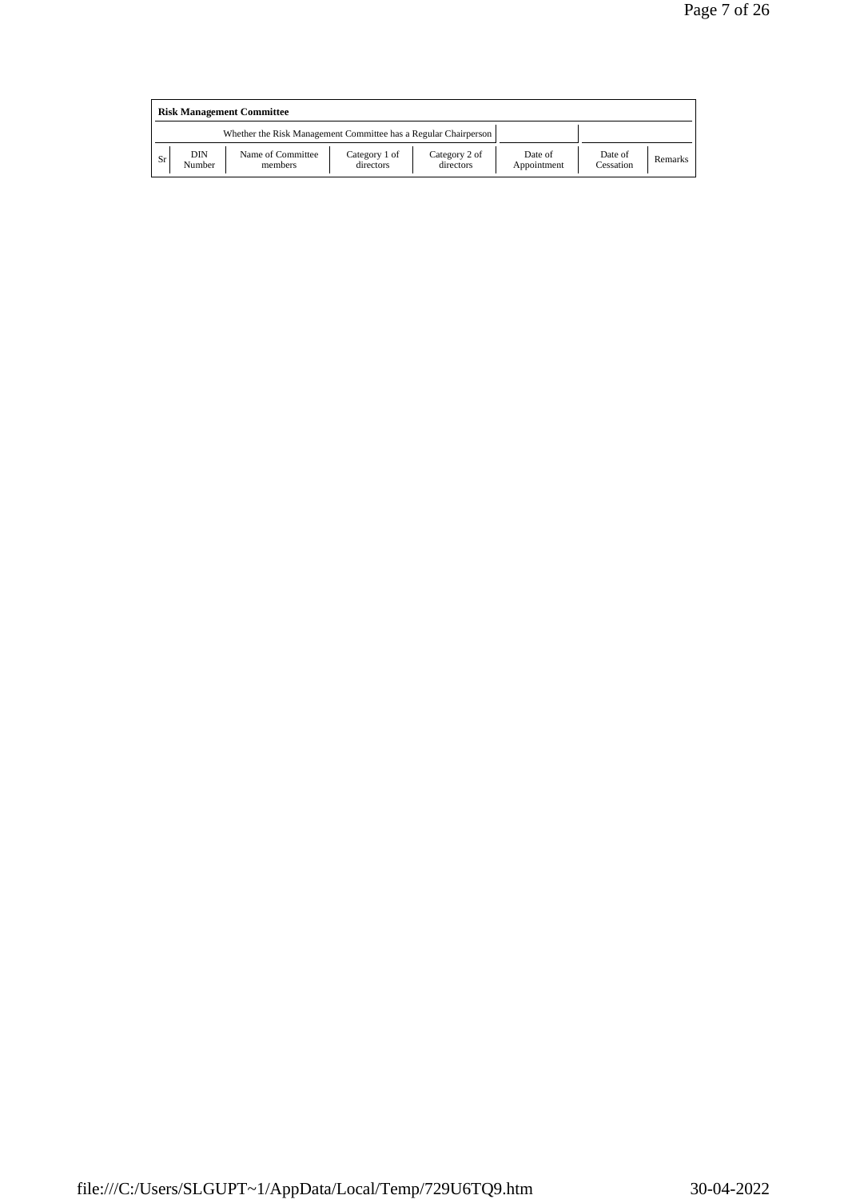| <b>Risk Management Committee</b> |               |                                                                 |                            |                            |                        |                      |         |  |  |
|----------------------------------|---------------|-----------------------------------------------------------------|----------------------------|----------------------------|------------------------|----------------------|---------|--|--|
|                                  |               | Whether the Risk Management Committee has a Regular Chairperson |                            |                            |                        |                      |         |  |  |
| Sr                               | DIN<br>Number | Name of Committee<br>members                                    | Category 1 of<br>directors | Category 2 of<br>directors | Date of<br>Appointment | Date of<br>Cessation | Remarks |  |  |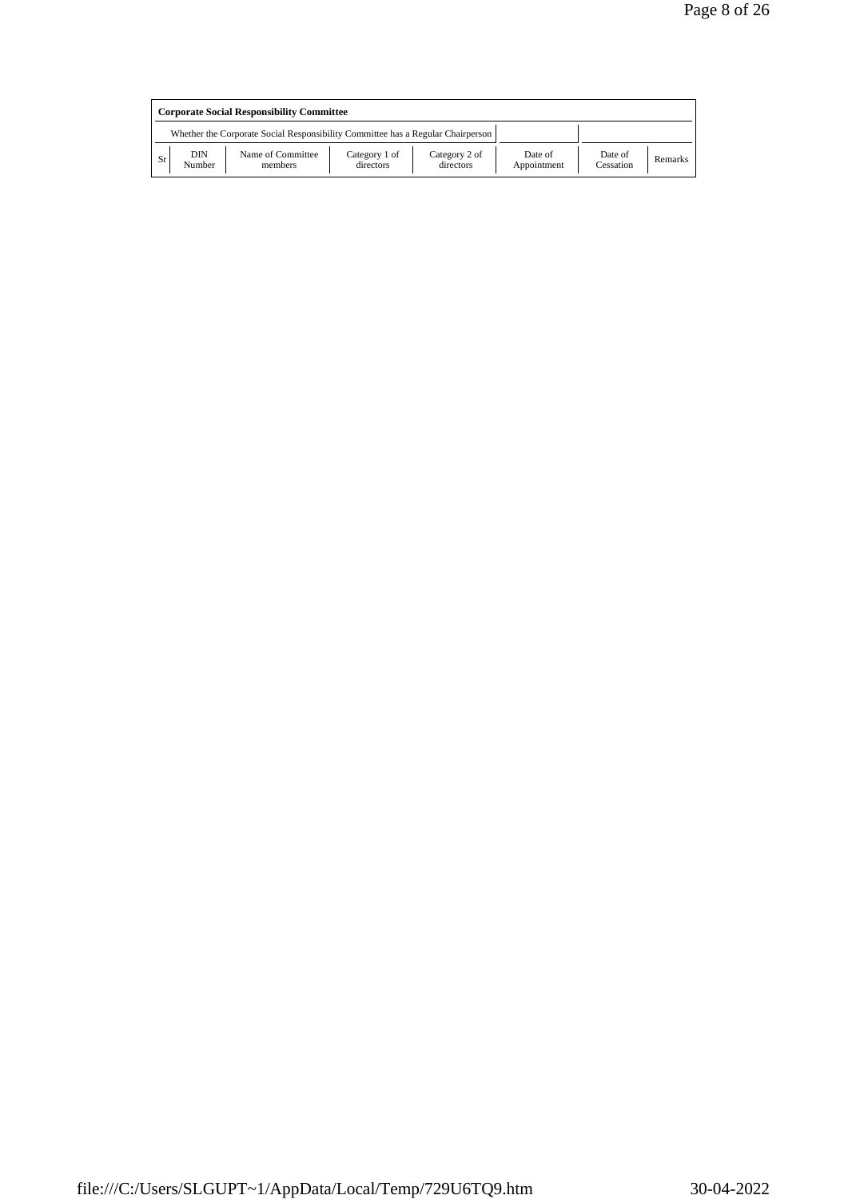| <b>Corporate Social Responsibility Committee</b> |               |                                                                                 |                            |                            |                        |                      |         |  |
|--------------------------------------------------|---------------|---------------------------------------------------------------------------------|----------------------------|----------------------------|------------------------|----------------------|---------|--|
|                                                  |               | Whether the Corporate Social Responsibility Committee has a Regular Chairperson |                            |                            |                        |                      |         |  |
| <b>Sr</b>                                        | DIN<br>Number | Name of Committee<br>members                                                    | Category 1 of<br>directors | Category 2 of<br>directors | Date of<br>Appointment | Date of<br>Cessation | Remarks |  |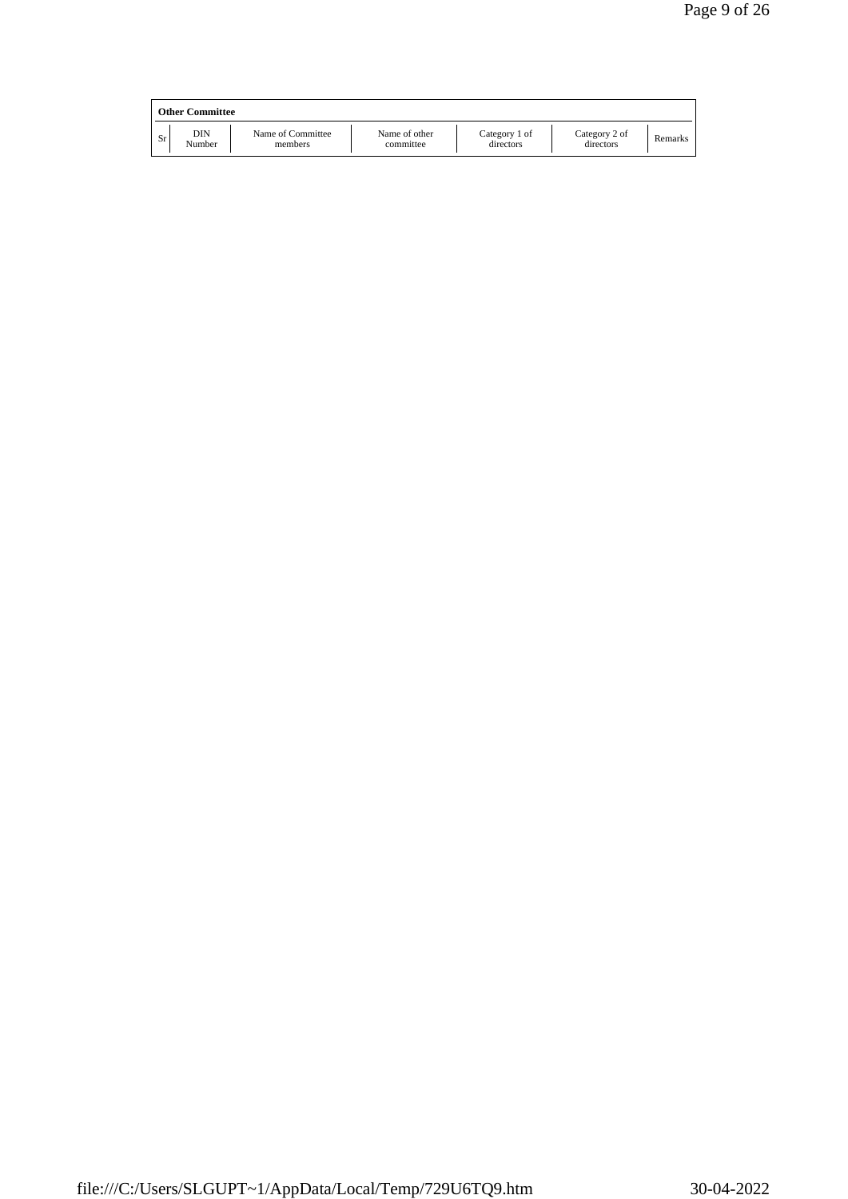|    | <b>Other Committee</b> |                              |                            |                            |                            |         |
|----|------------------------|------------------------------|----------------------------|----------------------------|----------------------------|---------|
| Sr | DIN<br>Number          | Name of Committee<br>members | Name of other<br>committee | Category 1 of<br>directors | Category 2 of<br>directors | Remarks |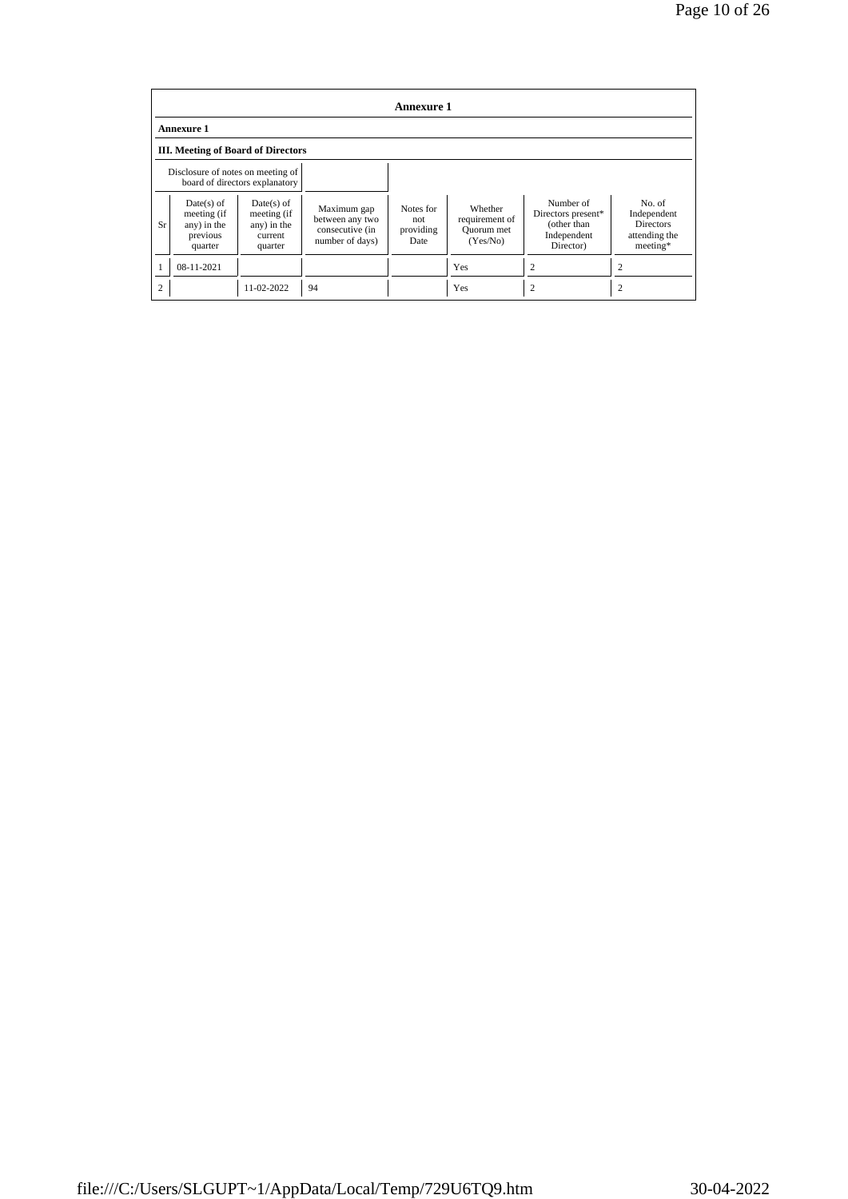| <b>Annexure 1</b>                         |                                                                   |                                                                  |                                                                      |                                       |                                                     |                                                                            |                                                                          |  |  |
|-------------------------------------------|-------------------------------------------------------------------|------------------------------------------------------------------|----------------------------------------------------------------------|---------------------------------------|-----------------------------------------------------|----------------------------------------------------------------------------|--------------------------------------------------------------------------|--|--|
| <b>Annexure 1</b>                         |                                                                   |                                                                  |                                                                      |                                       |                                                     |                                                                            |                                                                          |  |  |
| <b>III.</b> Meeting of Board of Directors |                                                                   |                                                                  |                                                                      |                                       |                                                     |                                                                            |                                                                          |  |  |
|                                           | Disclosure of notes on meeting of                                 | board of directors explanatory                                   |                                                                      |                                       |                                                     |                                                                            |                                                                          |  |  |
| Sr                                        | $Date(s)$ of<br>meeting (if<br>any) in the<br>previous<br>quarter | $Date(s)$ of<br>meeting (if<br>any) in the<br>current<br>quarter | Maximum gap<br>between any two<br>consecutive (in<br>number of days) | Notes for<br>not<br>providing<br>Date | Whether<br>requirement of<br>Quorum met<br>(Yes/No) | Number of<br>Directors present*<br>(other than<br>Independent<br>Director) | No. of<br>Independent<br><b>Directors</b><br>attending the<br>$meeting*$ |  |  |
|                                           | 08-11-2021                                                        |                                                                  |                                                                      |                                       | Yes                                                 | 2                                                                          | 2                                                                        |  |  |
| $\overline{c}$                            |                                                                   | 11-02-2022                                                       | 94                                                                   |                                       | Yes                                                 | $\overline{c}$                                                             |                                                                          |  |  |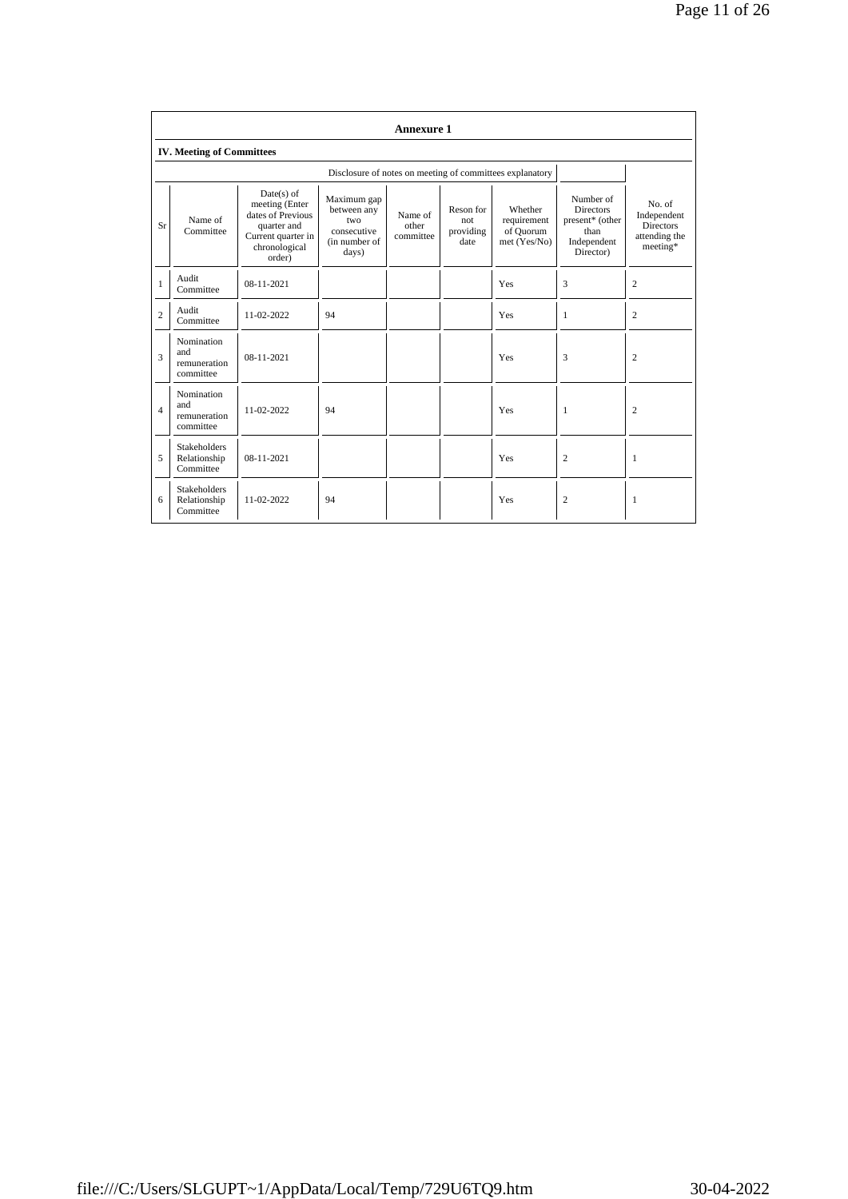|                | <b>Annexure 1</b>                                |                                                                                                                     |                                                                            |                               |                                       |                                                          |                                                                                      |                                                                        |  |  |
|----------------|--------------------------------------------------|---------------------------------------------------------------------------------------------------------------------|----------------------------------------------------------------------------|-------------------------------|---------------------------------------|----------------------------------------------------------|--------------------------------------------------------------------------------------|------------------------------------------------------------------------|--|--|
|                | <b>IV. Meeting of Committees</b>                 |                                                                                                                     |                                                                            |                               |                                       |                                                          |                                                                                      |                                                                        |  |  |
|                |                                                  |                                                                                                                     |                                                                            |                               |                                       | Disclosure of notes on meeting of committees explanatory |                                                                                      |                                                                        |  |  |
| Sr             | Name of<br>Committee                             | $Date(s)$ of<br>meeting (Enter<br>dates of Previous<br>quarter and<br>Current quarter in<br>chronological<br>order) | Maximum gap<br>between any<br>two<br>consecutive<br>(in number of<br>days) | Name of<br>other<br>committee | Reson for<br>not<br>providing<br>date | Whether<br>requirement<br>of Quorum<br>met (Yes/No)      | Number of<br><b>Directors</b><br>present* (other<br>than<br>Independent<br>Director) | No. of<br>Independent<br><b>Directors</b><br>attending the<br>meeting* |  |  |
| $\mathbf{1}$   | Audit<br>Committee                               | $08 - 11 - 2021$                                                                                                    |                                                                            |                               |                                       | Yes                                                      | 3                                                                                    | $\overline{c}$                                                         |  |  |
| $\overline{c}$ | Audit<br>Committee                               | 11-02-2022                                                                                                          | 94                                                                         |                               |                                       | Yes                                                      | $\mathbf{1}$                                                                         | 2                                                                      |  |  |
| 3              | Nomination<br>and<br>remuneration<br>committee   | $08 - 11 - 2021$                                                                                                    |                                                                            |                               |                                       | Yes                                                      | 3                                                                                    | 2                                                                      |  |  |
| $\overline{4}$ | Nomination<br>and<br>remuneration<br>committee   | 11-02-2022                                                                                                          | 94                                                                         |                               |                                       | Yes                                                      | $\mathbf{1}$                                                                         | $\overline{c}$                                                         |  |  |
| 5              | <b>Stakeholders</b><br>Relationship<br>Committee | $08 - 11 - 2021$                                                                                                    |                                                                            |                               |                                       | Yes                                                      | $\overline{c}$                                                                       | 1                                                                      |  |  |
| 6              | <b>Stakeholders</b><br>Relationship<br>Committee | 11-02-2022                                                                                                          | 94                                                                         |                               |                                       | Yes                                                      | $\overline{c}$                                                                       | 1                                                                      |  |  |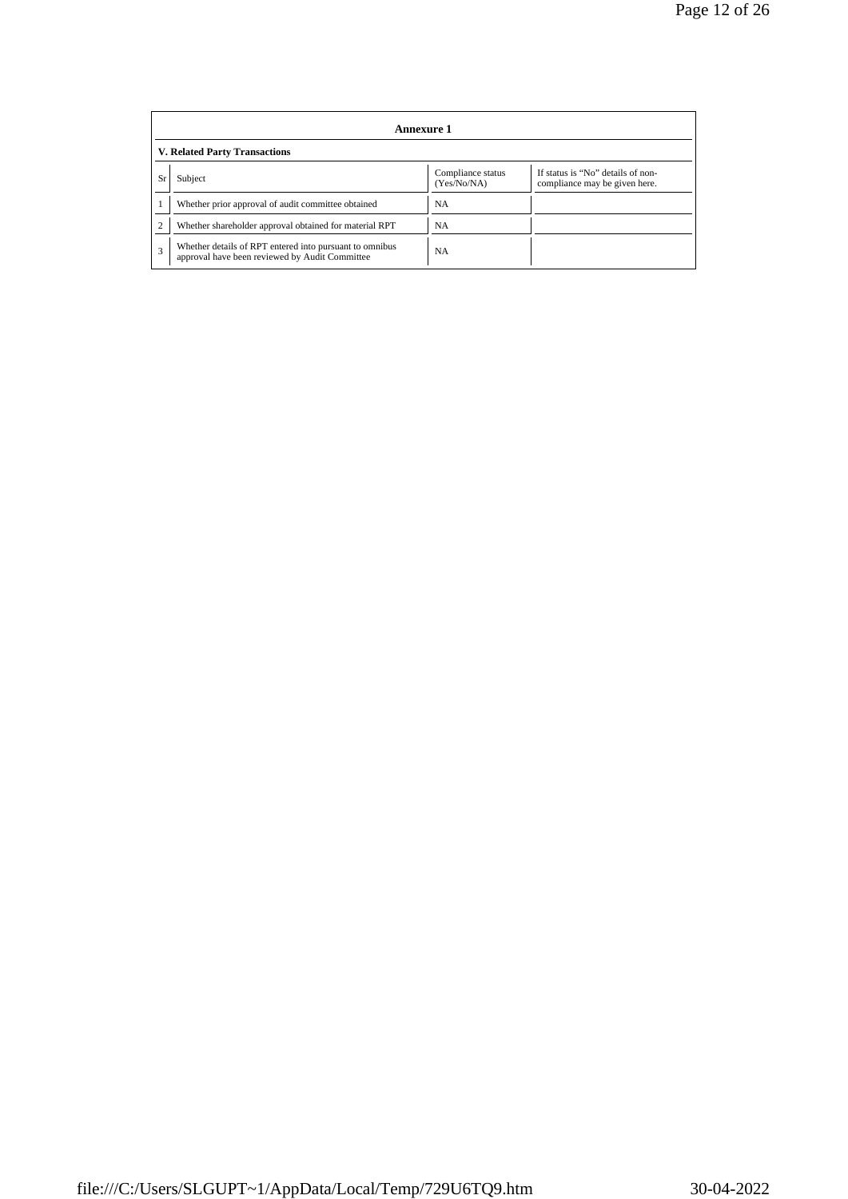|    | Annexure 1                                                                                                |                                  |                                                                    |  |  |  |  |  |
|----|-----------------------------------------------------------------------------------------------------------|----------------------------------|--------------------------------------------------------------------|--|--|--|--|--|
|    | <b>V. Related Party Transactions</b>                                                                      |                                  |                                                                    |  |  |  |  |  |
| Sr | Subject                                                                                                   | Compliance status<br>(Yes/No/NA) | If status is "No" details of non-<br>compliance may be given here. |  |  |  |  |  |
|    | Whether prior approval of audit committee obtained                                                        | <b>NA</b>                        |                                                                    |  |  |  |  |  |
|    | Whether shareholder approval obtained for material RPT                                                    | <b>NA</b>                        |                                                                    |  |  |  |  |  |
| 3  | Whether details of RPT entered into pursuant to omnibus<br>approval have been reviewed by Audit Committee | <b>NA</b>                        |                                                                    |  |  |  |  |  |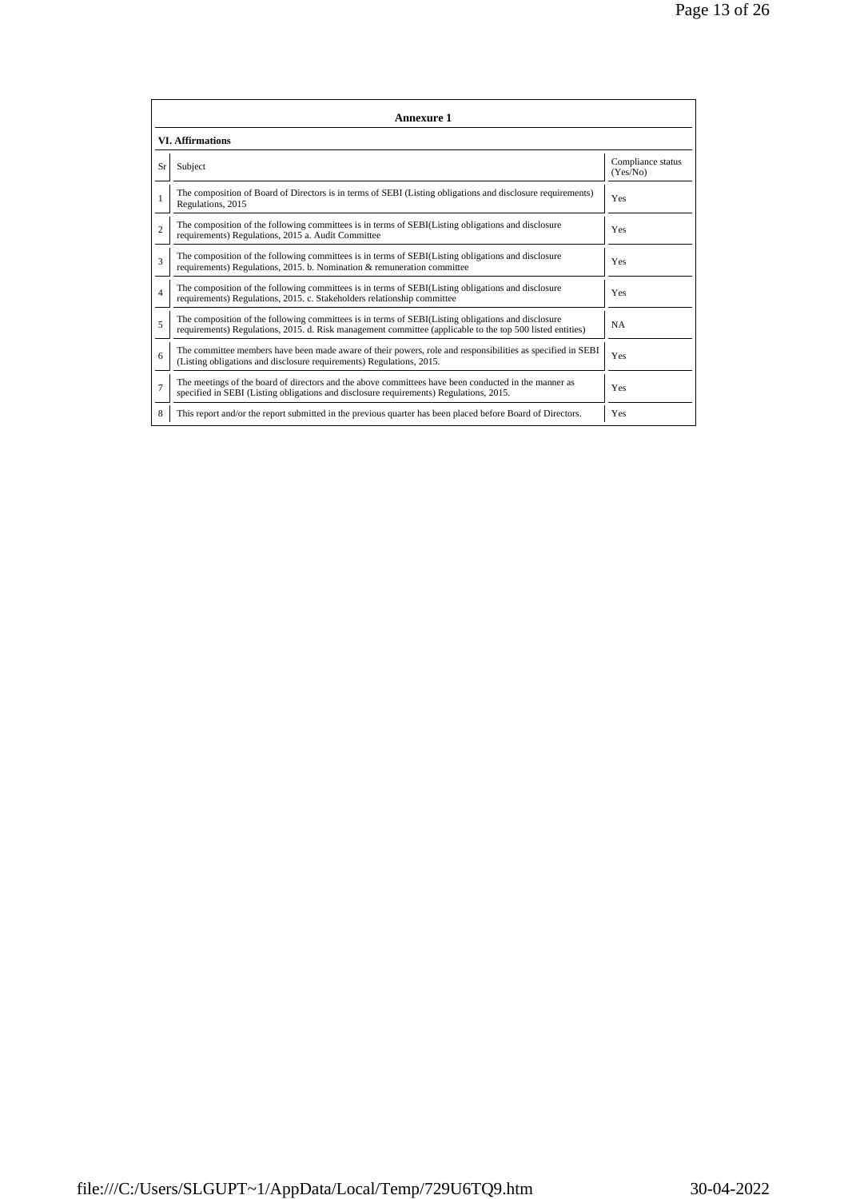|                | <b>Annexure 1</b>                                                                                                                                                                                               |                               |
|----------------|-----------------------------------------------------------------------------------------------------------------------------------------------------------------------------------------------------------------|-------------------------------|
|                | <b>VI.</b> Affirmations                                                                                                                                                                                         |                               |
| Sr             | Subject                                                                                                                                                                                                         | Compliance status<br>(Yes/No) |
|                | The composition of Board of Directors is in terms of SEBI (Listing obligations and disclosure requirements)<br>Regulations, 2015                                                                                | Yes                           |
| $\overline{c}$ | The composition of the following committees is in terms of SEBI(Listing obligations and disclosure<br>requirements) Regulations, 2015 a. Audit Committee                                                        | Yes                           |
| 3              | The composition of the following committees is in terms of SEBI(Listing obligations and disclosure<br>requirements) Regulations, 2015. b. Nomination & remuneration committee                                   | Yes                           |
| $\overline{4}$ | The composition of the following committees is in terms of SEBI(Listing obligations and disclosure<br>requirements) Regulations, 2015. c. Stakeholders relationship committee                                   | Yes                           |
| 5              | The composition of the following committees is in terms of SEBI(Listing obligations and disclosure<br>requirements) Regulations, 2015. d. Risk management committee (applicable to the top 500 listed entities) | <b>NA</b>                     |
| 6              | The committee members have been made aware of their powers, role and responsibilities as specified in SEBI<br>(Listing obligations and disclosure requirements) Regulations, 2015.                              | Yes                           |
| $\overline{7}$ | The meetings of the board of directors and the above committees have been conducted in the manner as<br>specified in SEBI (Listing obligations and disclosure requirements) Regulations, 2015.                  | Yes                           |
| 8              | This report and/or the report submitted in the previous quarter has been placed before Board of Directors.                                                                                                      | Yes                           |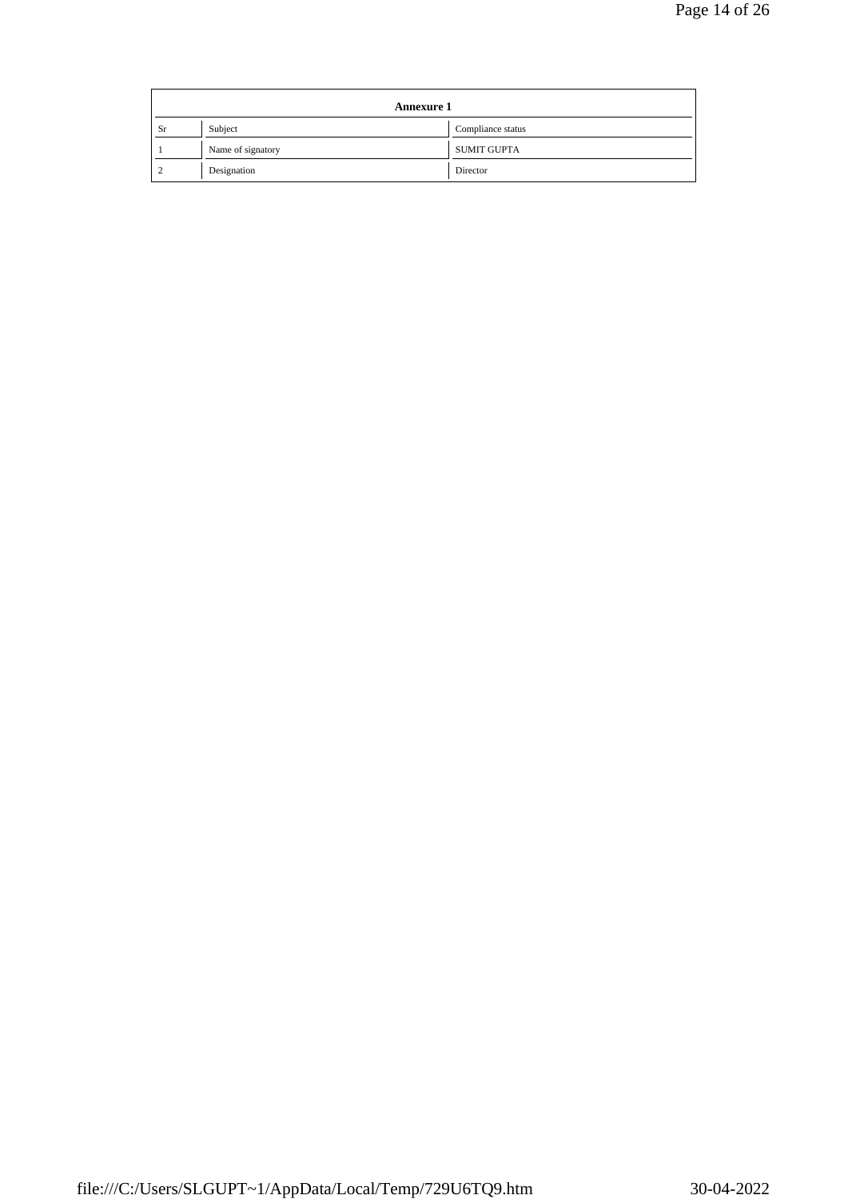|    | <b>Annexure 1</b> |                    |  |  |  |
|----|-------------------|--------------------|--|--|--|
| Sr | Subject           | Compliance status  |  |  |  |
|    | Name of signatory | <b>SUMIT GUPTA</b> |  |  |  |
|    | Designation       | Director           |  |  |  |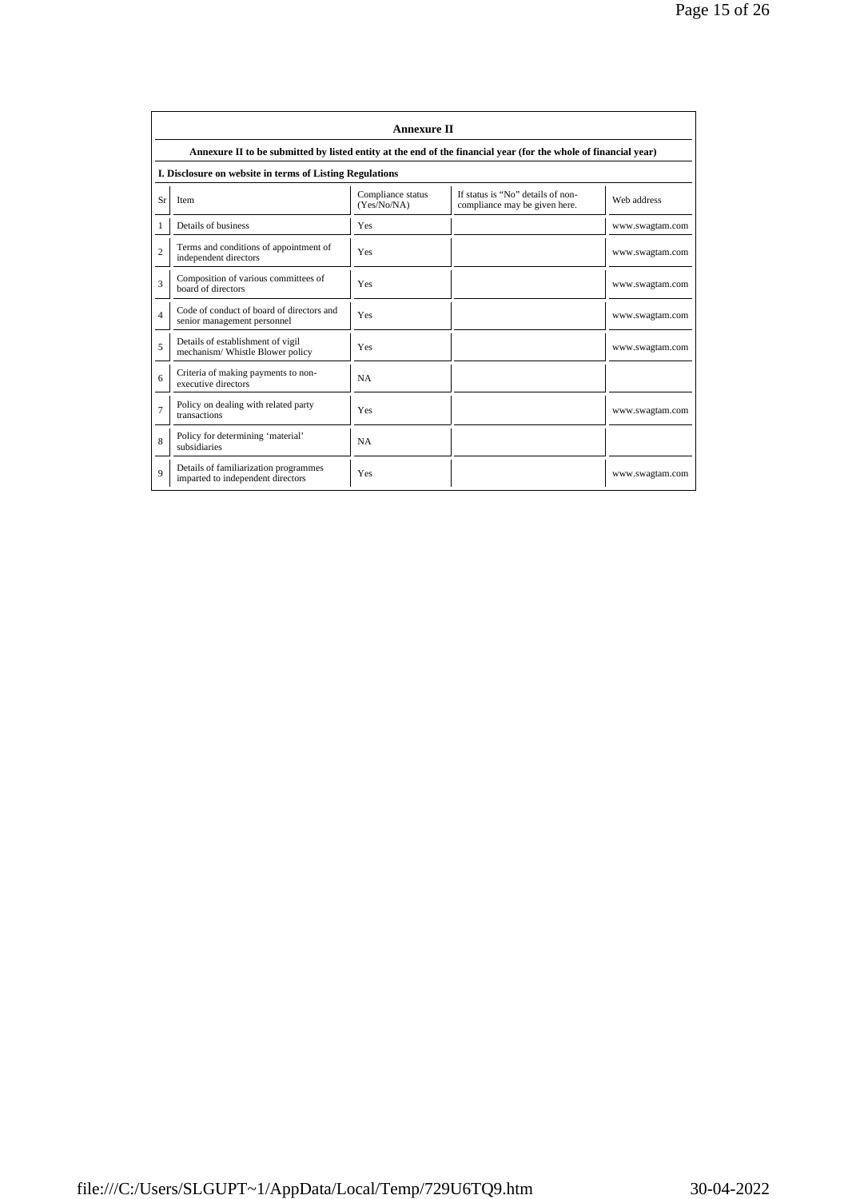|                | <b>Annexure II</b>                                                                                              |                                  |                                                                    |                 |  |
|----------------|-----------------------------------------------------------------------------------------------------------------|----------------------------------|--------------------------------------------------------------------|-----------------|--|
|                | Annexure II to be submitted by listed entity at the end of the financial year (for the whole of financial year) |                                  |                                                                    |                 |  |
|                | I. Disclosure on website in terms of Listing Regulations                                                        |                                  |                                                                    |                 |  |
| Sr             | Item                                                                                                            | Compliance status<br>(Yes/No/NA) | If status is "No" details of non-<br>compliance may be given here. | Web address     |  |
| 1              | Details of business                                                                                             | Yes                              |                                                                    | www.swagtam.com |  |
| $\overline{2}$ | Terms and conditions of appointment of<br>independent directors                                                 | Yes                              |                                                                    | www.swagtam.com |  |
| 3              | Composition of various committees of<br>board of directors                                                      | Yes                              |                                                                    | www.swagtam.com |  |
| $\overline{4}$ | Code of conduct of board of directors and<br>senior management personnel                                        | Yes                              |                                                                    | www.swagtam.com |  |
| 5              | Details of establishment of vigil<br>mechanism/Whistle Blower policy                                            | Yes                              |                                                                    | www.swagtam.com |  |
| 6              | Criteria of making payments to non-<br>executive directors                                                      | <b>NA</b>                        |                                                                    |                 |  |
| $\overline{7}$ | Policy on dealing with related party<br>transactions                                                            | Yes                              |                                                                    | www.swagtam.com |  |
| 8              | Policy for determining 'material'<br>subsidiaries                                                               | <b>NA</b>                        |                                                                    |                 |  |
| $\overline{Q}$ | Details of familiarization programmes<br>imparted to independent directors                                      | Yes                              |                                                                    | www.swagtam.com |  |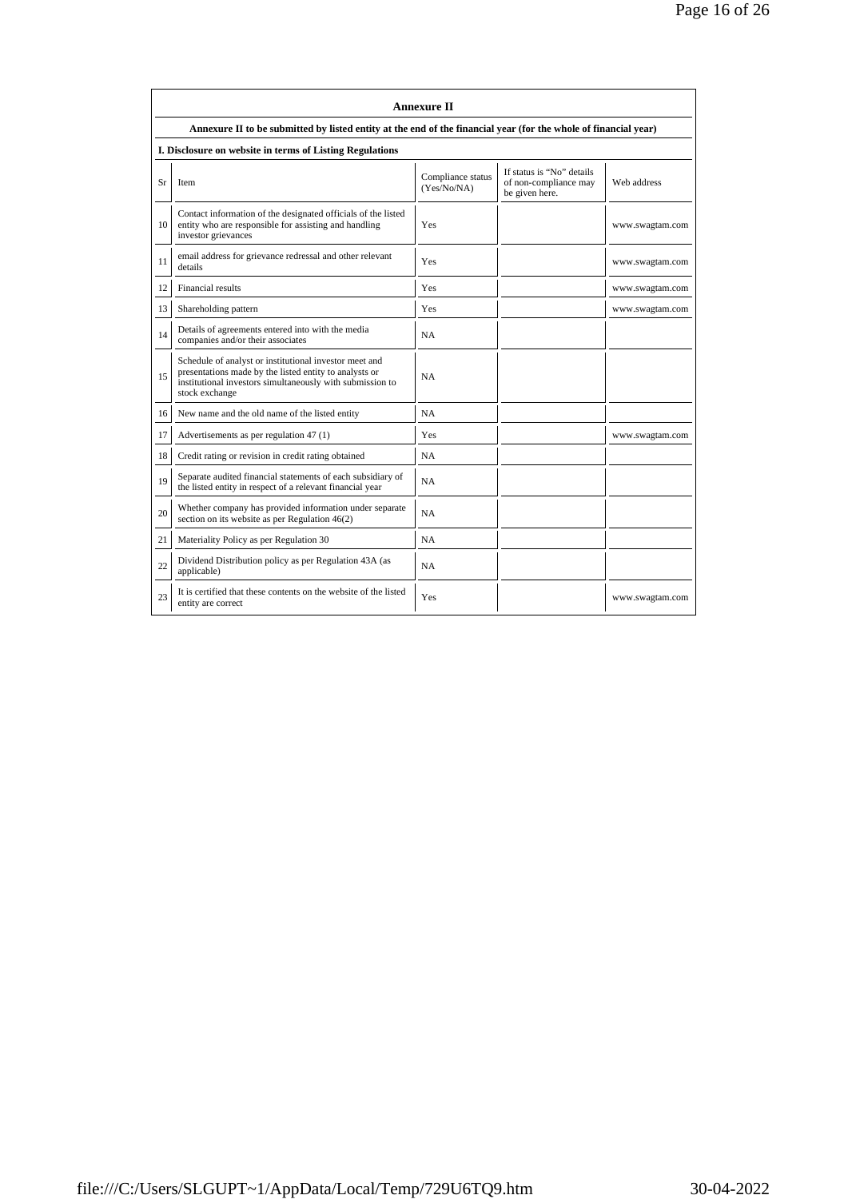|    | <b>Annexure II</b>                                                                                                                                                                              |                                  |                                                                      |                 |  |
|----|-------------------------------------------------------------------------------------------------------------------------------------------------------------------------------------------------|----------------------------------|----------------------------------------------------------------------|-----------------|--|
|    | Annexure II to be submitted by listed entity at the end of the financial year (for the whole of financial year)                                                                                 |                                  |                                                                      |                 |  |
|    | I. Disclosure on website in terms of Listing Regulations                                                                                                                                        |                                  |                                                                      |                 |  |
| Sr | Item                                                                                                                                                                                            | Compliance status<br>(Yes/No/NA) | If status is "No" details<br>of non-compliance may<br>be given here. | Web address     |  |
| 10 | Contact information of the designated officials of the listed<br>entity who are responsible for assisting and handling<br>investor grievances                                                   | Yes                              |                                                                      | www.swagtam.com |  |
| 11 | email address for grievance redressal and other relevant<br>details                                                                                                                             | Yes                              |                                                                      | www.swagtam.com |  |
| 12 | <b>Financial results</b>                                                                                                                                                                        | Yes                              |                                                                      | www.swagtam.com |  |
| 13 | Shareholding pattern                                                                                                                                                                            | Yes                              |                                                                      | www.swagtam.com |  |
| 14 | Details of agreements entered into with the media<br>companies and/or their associates                                                                                                          | NA                               |                                                                      |                 |  |
| 15 | Schedule of analyst or institutional investor meet and<br>presentations made by the listed entity to analysts or<br>institutional investors simultaneously with submission to<br>stock exchange | <b>NA</b>                        |                                                                      |                 |  |
| 16 | New name and the old name of the listed entity                                                                                                                                                  | <b>NA</b>                        |                                                                      |                 |  |
| 17 | Advertisements as per regulation 47 (1)                                                                                                                                                         | Yes                              |                                                                      | www.swagtam.com |  |
| 18 | Credit rating or revision in credit rating obtained                                                                                                                                             | <b>NA</b>                        |                                                                      |                 |  |
| 19 | Separate audited financial statements of each subsidiary of<br>the listed entity in respect of a relevant financial year                                                                        | <b>NA</b>                        |                                                                      |                 |  |
| 20 | Whether company has provided information under separate<br>section on its website as per Regulation 46(2)                                                                                       | <b>NA</b>                        |                                                                      |                 |  |
| 21 | Materiality Policy as per Regulation 30                                                                                                                                                         | <b>NA</b>                        |                                                                      |                 |  |
| 22 | Dividend Distribution policy as per Regulation 43A (as<br>applicable)                                                                                                                           | <b>NA</b>                        |                                                                      |                 |  |
| 23 | It is certified that these contents on the website of the listed<br>entity are correct                                                                                                          | Yes                              |                                                                      | www.swagtam.com |  |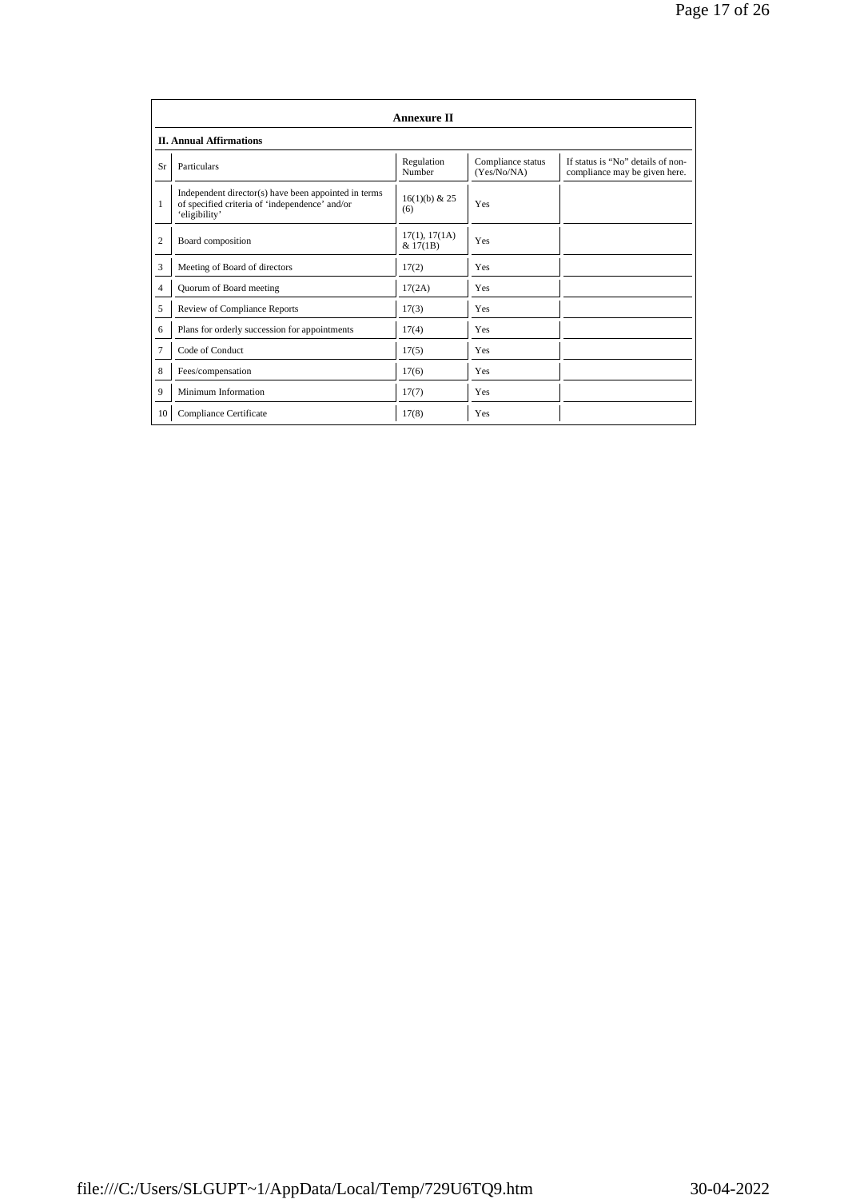|                | <b>Annexure II</b>                                                                                                      |                           |                                  |                                                                    |  |
|----------------|-------------------------------------------------------------------------------------------------------------------------|---------------------------|----------------------------------|--------------------------------------------------------------------|--|
|                | <b>II. Annual Affirmations</b>                                                                                          |                           |                                  |                                                                    |  |
| Sr             | Particulars                                                                                                             | Regulation<br>Number      | Compliance status<br>(Yes/No/NA) | If status is "No" details of non-<br>compliance may be given here. |  |
| 1              | Independent director(s) have been appointed in terms<br>of specified criteria of 'independence' and/or<br>'eligibility' | $16(1)(b)$ & 25<br>(6)    | Yes                              |                                                                    |  |
| $\overline{2}$ | Board composition                                                                                                       | 17(1), 17(1A)<br>& 17(1B) | Yes                              |                                                                    |  |
| 3              | Meeting of Board of directors                                                                                           | 17(2)                     | Yes                              |                                                                    |  |
| $\overline{4}$ | Quorum of Board meeting                                                                                                 | 17(2A)                    | Yes                              |                                                                    |  |
| 5              | Review of Compliance Reports                                                                                            | 17(3)                     | Yes                              |                                                                    |  |
| 6              | Plans for orderly succession for appointments                                                                           | 17(4)                     | Yes                              |                                                                    |  |
| $\overline{7}$ | Code of Conduct                                                                                                         | 17(5)                     | Yes                              |                                                                    |  |
| 8              | Fees/compensation                                                                                                       | 17(6)                     | Yes                              |                                                                    |  |
| 9              | Minimum Information                                                                                                     | 17(7)                     | Yes                              |                                                                    |  |
| 10             | Compliance Certificate                                                                                                  | 17(8)                     | Yes                              |                                                                    |  |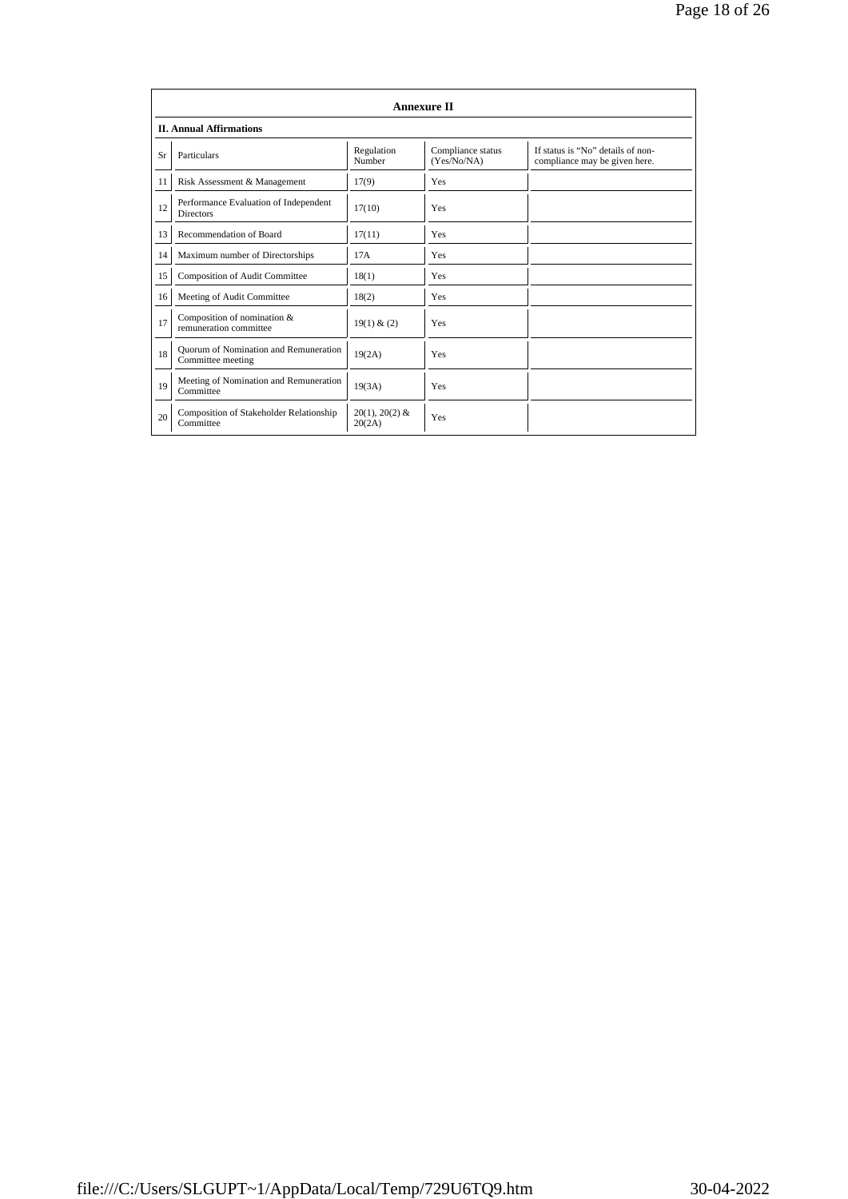|    | <b>Annexure II</b>                                         |                            |                                  |                                                                    |  |
|----|------------------------------------------------------------|----------------------------|----------------------------------|--------------------------------------------------------------------|--|
|    | <b>II. Annual Affirmations</b>                             |                            |                                  |                                                                    |  |
| Sr | Particulars                                                | Regulation<br>Number       | Compliance status<br>(Yes/No/NA) | If status is "No" details of non-<br>compliance may be given here. |  |
| 11 | Risk Assessment & Management                               | 17(9)                      | Yes                              |                                                                    |  |
| 12 | Performance Evaluation of Independent<br><b>Directors</b>  | 17(10)                     | Yes                              |                                                                    |  |
| 13 | Recommendation of Board                                    | 17(11)                     | Yes                              |                                                                    |  |
| 14 | Maximum number of Directorships                            | 17A                        | <b>Yes</b>                       |                                                                    |  |
| 15 | Composition of Audit Committee                             | 18(1)                      | <b>Yes</b>                       |                                                                    |  |
| 16 | Meeting of Audit Committee                                 | 18(2)                      | <b>Yes</b>                       |                                                                    |  |
| 17 | Composition of nomination &<br>remuneration committee      | 19(1) & (2)                | Yes                              |                                                                    |  |
| 18 | Quorum of Nomination and Remuneration<br>Committee meeting | 19(2A)                     | Yes                              |                                                                    |  |
| 19 | Meeting of Nomination and Remuneration<br>Committee        | 19(3A)                     | Yes                              |                                                                    |  |
| 20 | Composition of Stakeholder Relationship<br>Committee       | $20(1), 20(2)$ &<br>20(2A) | Yes                              |                                                                    |  |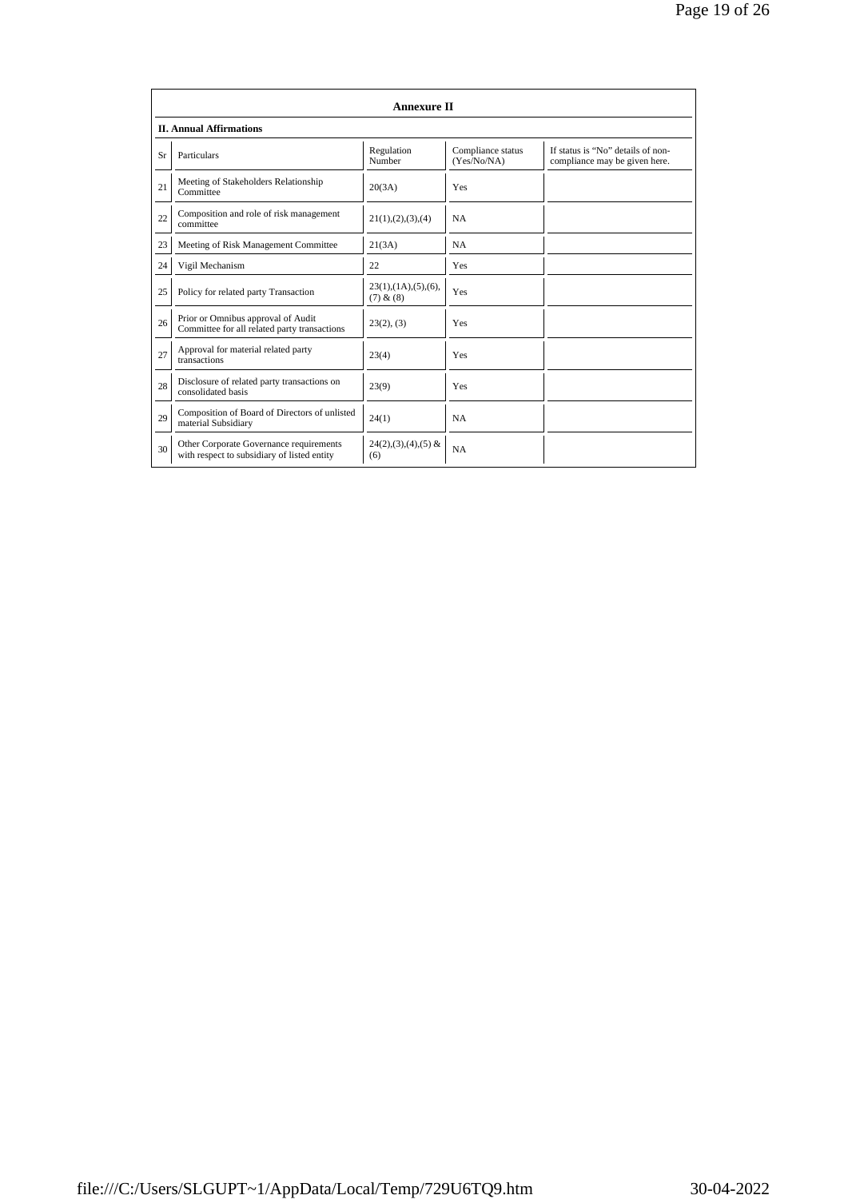|    | <b>Annexure II</b>                                                                     |                                                 |                                  |                                                                    |  |  |
|----|----------------------------------------------------------------------------------------|-------------------------------------------------|----------------------------------|--------------------------------------------------------------------|--|--|
|    | <b>II. Annual Affirmations</b>                                                         |                                                 |                                  |                                                                    |  |  |
| Sr | Particulars                                                                            | Regulation<br>Number                            | Compliance status<br>(Yes/No/NA) | If status is "No" details of non-<br>compliance may be given here. |  |  |
| 21 | Meeting of Stakeholders Relationship<br>Committee                                      | 20(3A)                                          | Yes                              |                                                                    |  |  |
| 22 | Composition and role of risk management<br>committee                                   | 21(1), (2), (3), (4)                            | <b>NA</b>                        |                                                                    |  |  |
| 23 | Meeting of Risk Management Committee                                                   | 21(3A)                                          | <b>NA</b>                        |                                                                    |  |  |
| 24 | Vigil Mechanism                                                                        | 22                                              | Yes                              |                                                                    |  |  |
| 25 | Policy for related party Transaction                                                   | $23(1)$ , $(1A)$ , $(5)$ , $(6)$ ,<br>(7) & (8) | Yes                              |                                                                    |  |  |
| 26 | Prior or Omnibus approval of Audit<br>Committee for all related party transactions     | 23(2), (3)                                      | Yes                              |                                                                    |  |  |
| 27 | Approval for material related party<br>transactions                                    | 23(4)                                           | Yes                              |                                                                    |  |  |
| 28 | Disclosure of related party transactions on<br>consolidated basis                      | 23(9)                                           | Yes                              |                                                                    |  |  |
| 29 | Composition of Board of Directors of unlisted<br>material Subsidiary                   | 24(1)                                           | <b>NA</b>                        |                                                                    |  |  |
| 30 | Other Corporate Governance requirements<br>with respect to subsidiary of listed entity | $24(2),(3),(4),(5)$ &<br>(6)                    | <b>NA</b>                        |                                                                    |  |  |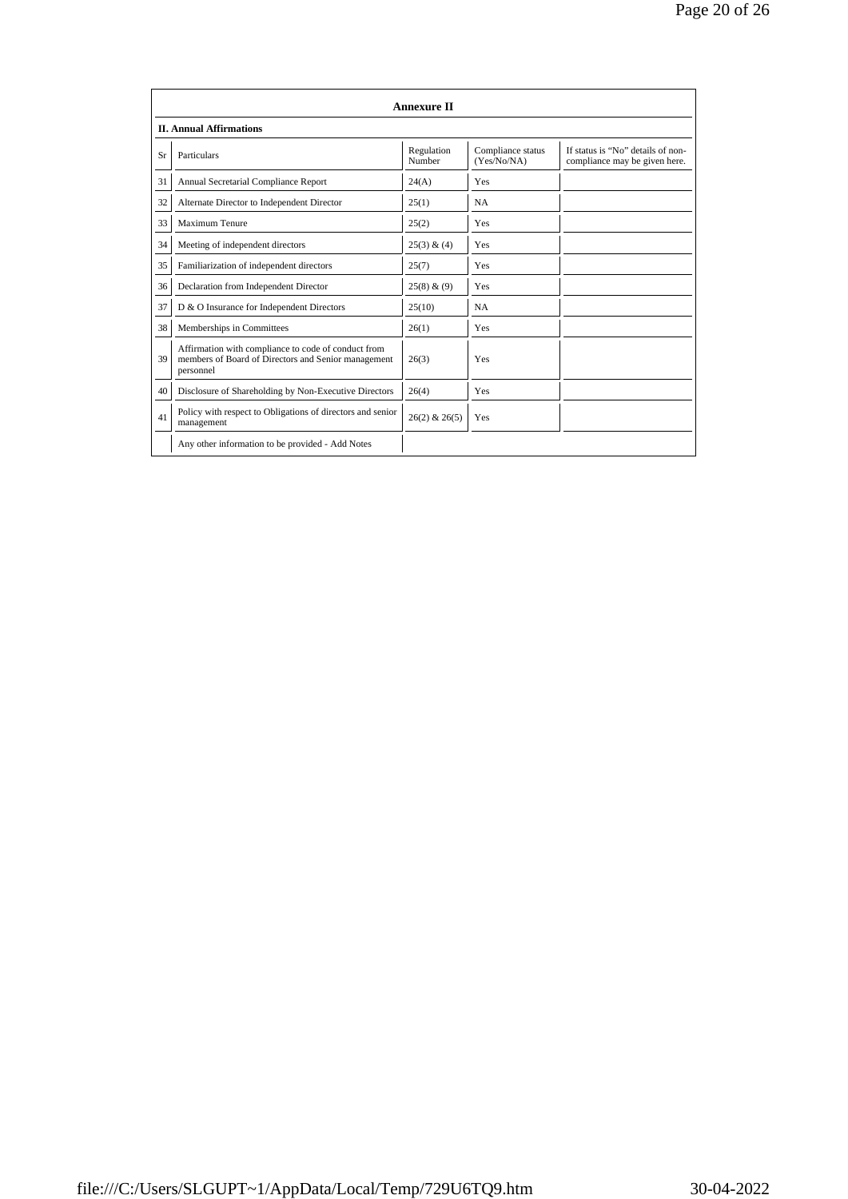|    | <b>Annexure II</b><br><b>II. Annual Affirmations</b>                                                                    |                      |                                  |                                                                    |  |
|----|-------------------------------------------------------------------------------------------------------------------------|----------------------|----------------------------------|--------------------------------------------------------------------|--|
| Sr | Particulars                                                                                                             | Regulation<br>Number | Compliance status<br>(Yes/No/NA) | If status is "No" details of non-<br>compliance may be given here. |  |
| 31 | Annual Secretarial Compliance Report                                                                                    | 24(A)                | Yes                              |                                                                    |  |
| 32 | Alternate Director to Independent Director                                                                              | 25(1)                | <b>NA</b>                        |                                                                    |  |
| 33 | <b>Maximum Tenure</b>                                                                                                   | 25(2)                | Yes                              |                                                                    |  |
| 34 | Meeting of independent directors                                                                                        | 25(3) & (4)          | Yes                              |                                                                    |  |
| 35 | Familiarization of independent directors                                                                                | 25(7)                | Yes                              |                                                                    |  |
| 36 | Declaration from Independent Director                                                                                   | 25(8) & (9)          | Yes                              |                                                                    |  |
| 37 | D & O Insurance for Independent Directors                                                                               | 25(10)               | <b>NA</b>                        |                                                                    |  |
| 38 | Memberships in Committees                                                                                               | 26(1)                | Yes                              |                                                                    |  |
| 39 | Affirmation with compliance to code of conduct from<br>members of Board of Directors and Senior management<br>personnel | 26(3)                | Yes                              |                                                                    |  |
| 40 | Disclosure of Shareholding by Non-Executive Directors                                                                   | 26(4)                | Yes                              |                                                                    |  |
| 41 | Policy with respect to Obligations of directors and senior<br>management                                                | $26(2)$ & $26(5)$    | Yes                              |                                                                    |  |
|    | Any other information to be provided - Add Notes                                                                        |                      |                                  |                                                                    |  |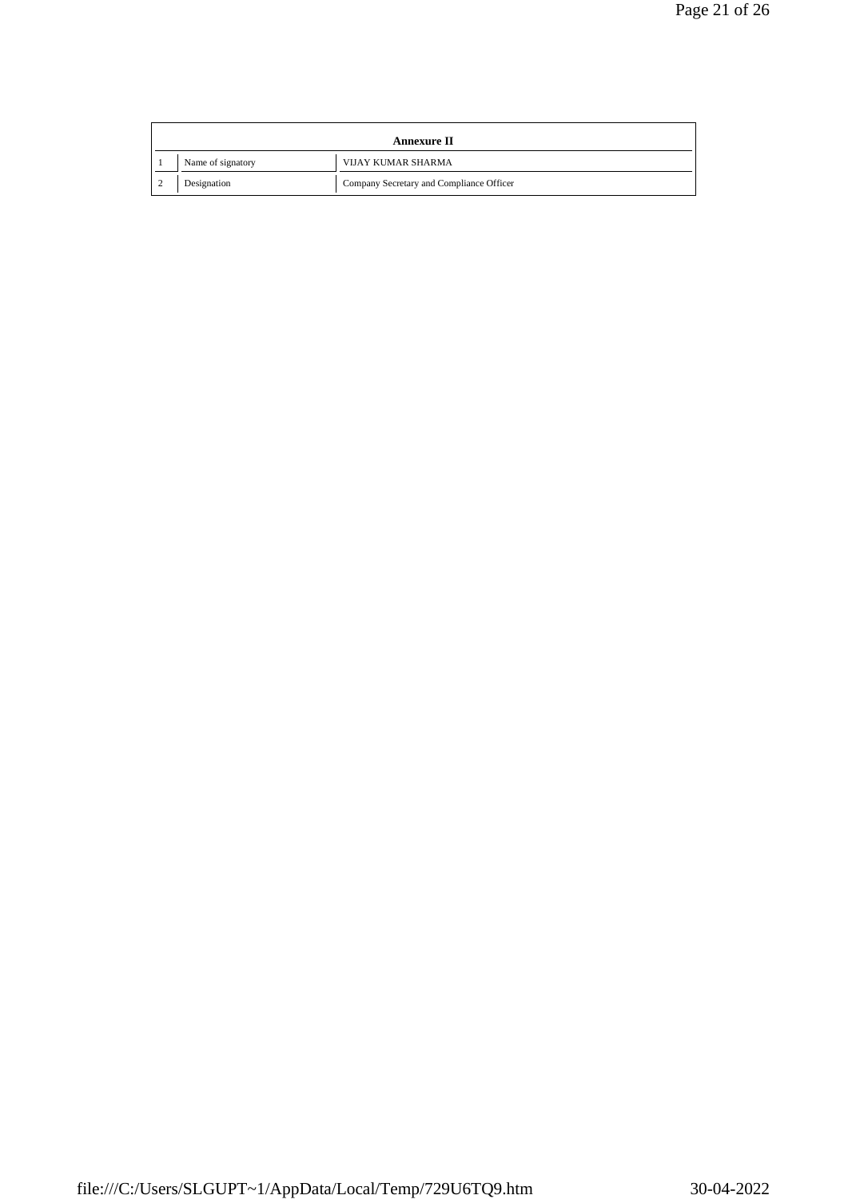| Annexure II |                   |                                          |  |
|-------------|-------------------|------------------------------------------|--|
|             | Name of signatory | <b>VIJAY KUMAR SHARMA</b>                |  |
|             | Designation       | Company Secretary and Compliance Officer |  |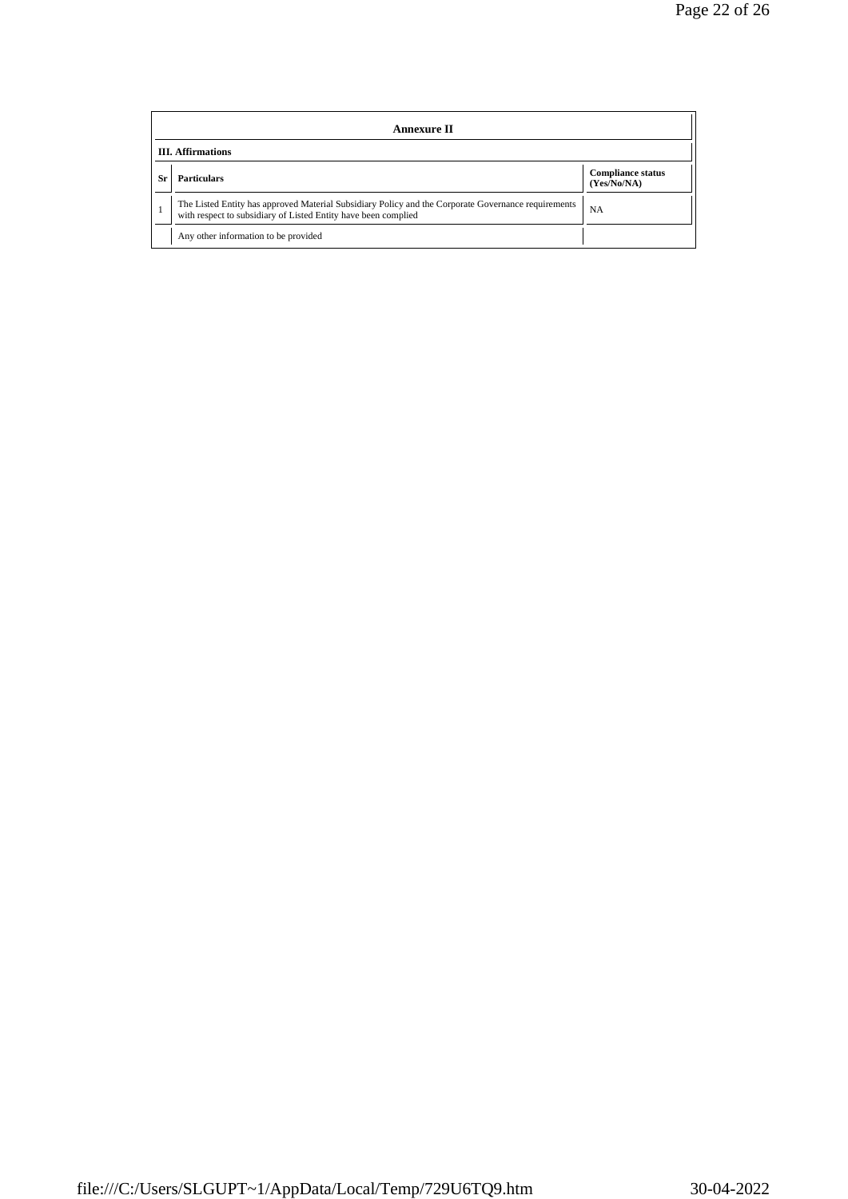|     | Annexure II                                                                                                                                                           |                                         |  |  |  |
|-----|-----------------------------------------------------------------------------------------------------------------------------------------------------------------------|-----------------------------------------|--|--|--|
|     | <b>III.</b> Affirmations                                                                                                                                              |                                         |  |  |  |
| Sr. | <b>Particulars</b>                                                                                                                                                    | <b>Compliance status</b><br>(Yes/No/NA) |  |  |  |
|     | The Listed Entity has approved Material Subsidiary Policy and the Corporate Governance requirements<br>with respect to subsidiary of Listed Entity have been complied | <b>NA</b>                               |  |  |  |
|     | Any other information to be provided                                                                                                                                  |                                         |  |  |  |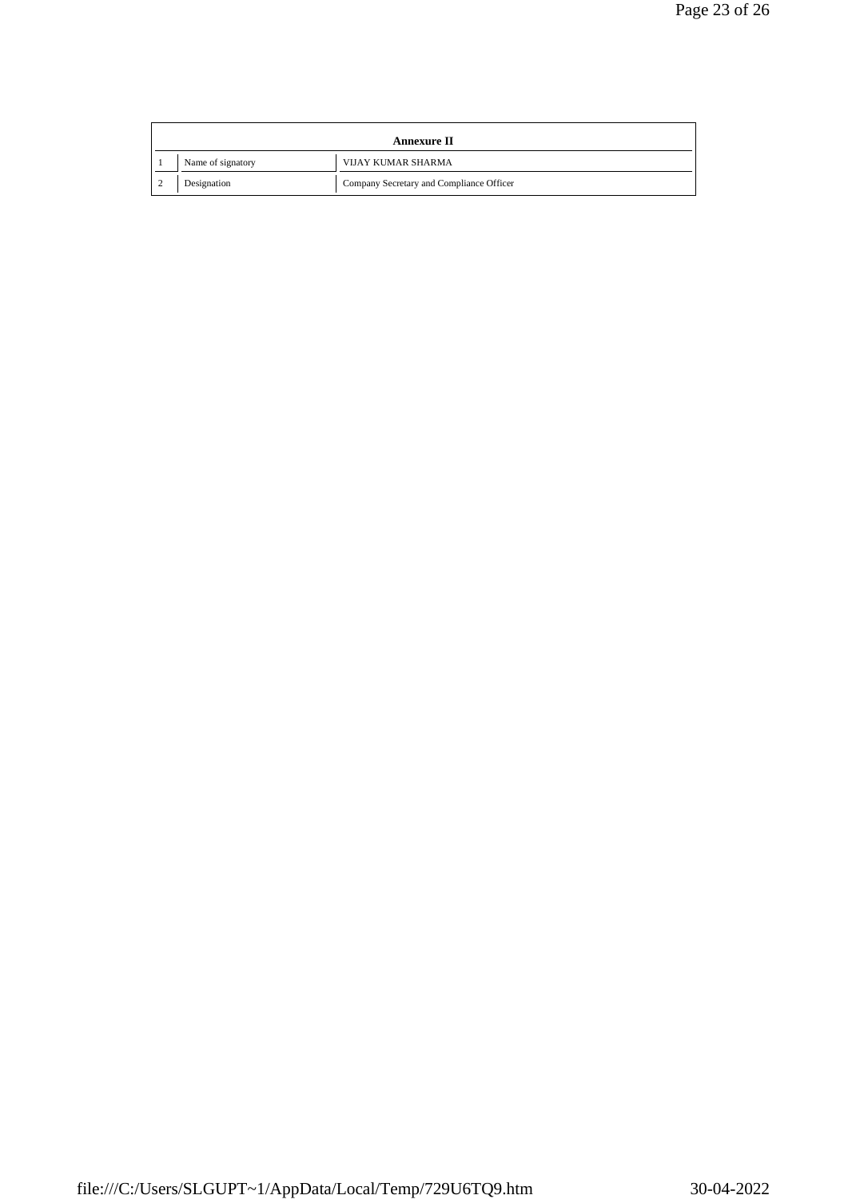| Annexure II |                   |                                          |  |
|-------------|-------------------|------------------------------------------|--|
|             | Name of signatory | <b>VIJAY KUMAR SHARMA</b>                |  |
|             | Designation       | Company Secretary and Compliance Officer |  |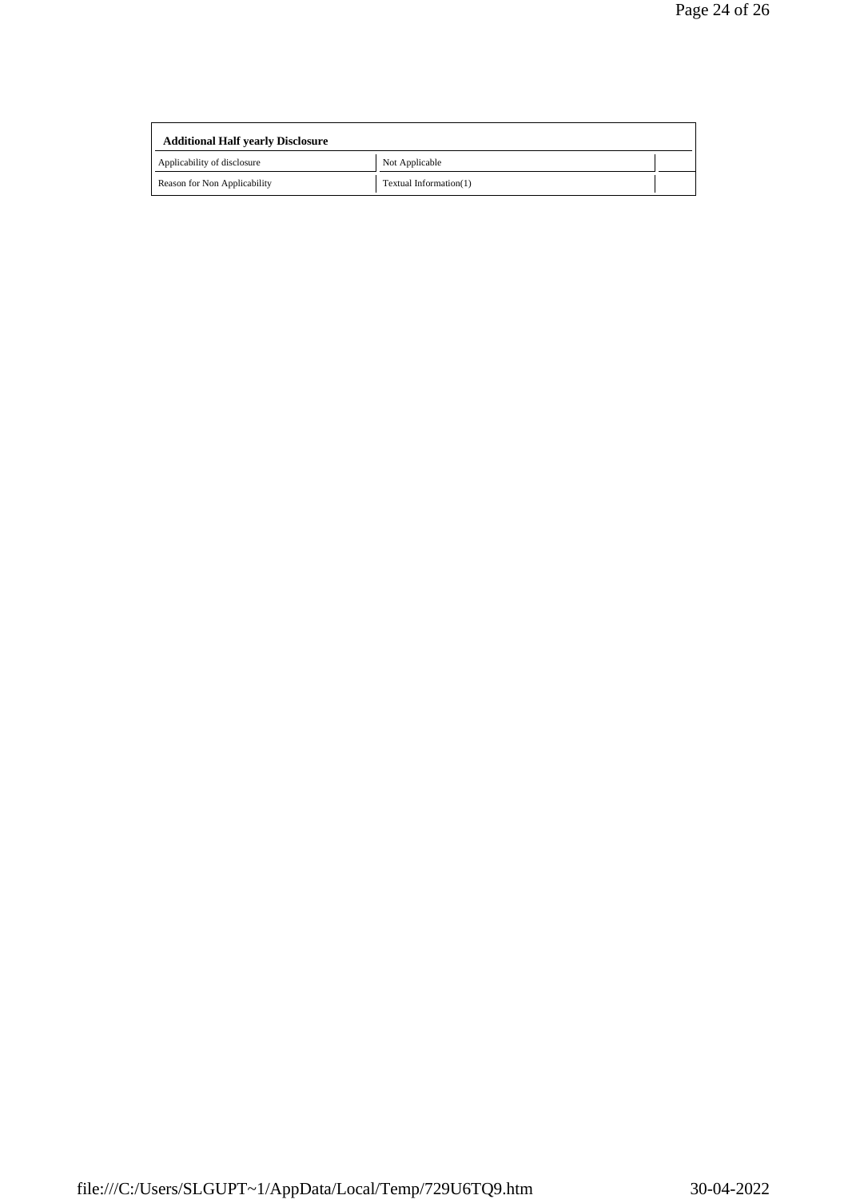| <b>Additional Half yearly Disclosure</b> |                        |  |
|------------------------------------------|------------------------|--|
| Applicability of disclosure              | Not Applicable         |  |
| Reason for Non Applicability             | Textual Information(1) |  |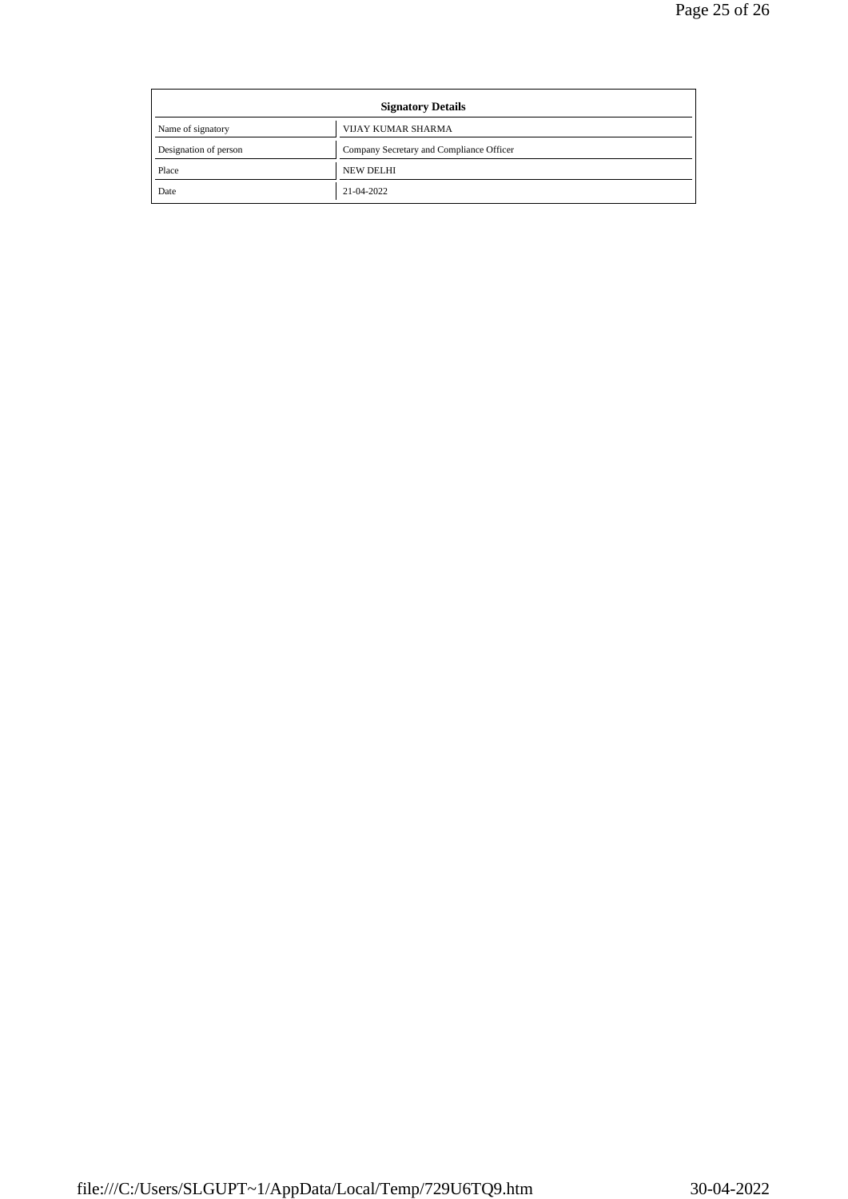| <b>Signatory Details</b> |                                          |
|--------------------------|------------------------------------------|
| Name of signatory        | <b>VIJAY KUMAR SHARMA</b>                |
| Designation of person    | Company Secretary and Compliance Officer |
| Place                    | <b>NEW DELHI</b>                         |
| Date                     | 21-04-2022                               |